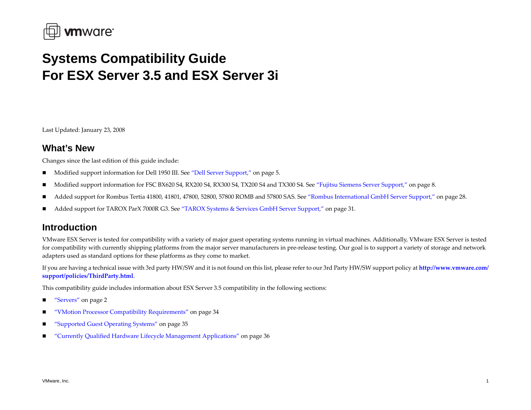

# **Systems Compatibility Guide For ESX Server 3.5 and ESX Server 3i**

Last Updated: January 23, 2008

# **What's New**

Changes since the last edition of this guide include:

- $\blacksquare$ Modified suppor<sup>t</sup> information for Dell 1950 III. See "Dell Server [Support,"](#page-4-0) on page 5.
- Modified suppor<sup>t</sup> information for FSC BX620 S4, RX200 S4, RX300 S4, TX200 S4 and TX300 S4. See "Fujitsu Siemens Server [Support,"](#page-7-0) on page 8.
- Added suppor<sup>t</sup> for Rombus Tertia 41800, 41801, 47800, 52800, 57800 ROMB and 57800 SAS. See "Rombus [International](#page-27-0) GmbH Server Support," on page 28.
- п Added suppor<sup>t</sup> for TAROX ParX 7000R G3. See "TAROX Systems & Services GmbH Server [Support,"](#page-30-0) on page 31.

# **Introduction**

VMware ESX Server is tested for compatibility with <sup>a</sup> variety of major gues<sup>t</sup> operating systems running in virtual machines. Additionally, VMware ESX Server is tested for compatibility with currently shipping platforms from the major server manufacturers in pre‐release testing. Our goal is to suppor<sup>t</sup> <sup>a</sup> variety of storage and network adapters used as standard options for these platforms as they come to market.

If you are having <sup>a</sup> technical issue with 3rd party HW/SW and it is not found on this list, please refer to our 3rd Party HW/SW suppor<sup>t</sup> policy at **[http://www.vmware.com/](http://www.vmware.com/support/policies/ThirdParty.html) suppor[t/policies/ThirdParty.html](http://www.vmware.com/support/policies/ThirdParty.html)**.

This compatibility guide includes information about ESX Server 3.5 compatibility in the following sections:

- ["Servers"](#page-1-0) on page 2
- "VMotion Processor Compatibility [Requirements"](#page-33-0) on page 34
- ["Supported](#page-34-0) Guest Operating Systems" on page 35
- "Currently Qualified Hardware Lifecycle Management [Applications"](#page-35-0) on page 36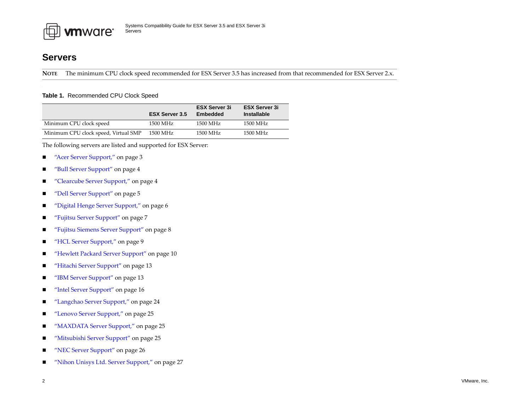

# <span id="page-1-0"></span>**Servers**

**NOTE** The minimum CPU clock speed recommended for ESX Server 3.5 has increased from that recommended for ESX Server 2.x.

#### **Table 1.** Recommended CPU Clock Speed

|                                      | <b>ESX Server 3.5</b> | <b>ESX Server 3i</b><br>Embedded | <b>ESX Server 3i</b><br><b>Installable</b> |
|--------------------------------------|-----------------------|----------------------------------|--------------------------------------------|
| Minimum CPU clock speed              | 1500 MHz              | 1500 MHz                         | 1500 MHz                                   |
| Minimum CPU clock speed, Virtual SMP | 1500 MHz              | 1500 MHz                         | 1500 MHz                                   |

The following servers are listed and supported for ESX Server:

- $\blacksquare$ "Acer Server [Support,"](#page-2-0) on page 3
- п "Bull Server [Support"](#page-3-0) on page <sup>4</sup>
- $\blacksquare$ "Clearcube Server [Support,"](#page-3-1) on page <sup>4</sup>
- п "Dell Server [Support"](#page-4-0) on page <sup>5</sup>
- $\blacksquare$ "Digital Henge Server [Support,"](#page-5-0) on page 6
- $\blacksquare$ "Fujitsu Server [Support"](#page-6-0) on page <sup>7</sup>
- п "Fujitsu Siemens Server [Support"](#page-7-0) on page 8
- $\blacksquare$ "HCL Server [Support,"](#page-8-0) on page 9
- $\blacksquare$ "Hewlett Packard Server [Support"](#page-9-0) on page 10
- п "Hitachi Server [Support"](#page-12-0) on page 13
- ■ "IBM Server [Support"](#page-12-1) on page 13
- "Intel Server [Support"](#page-15-0) on page 16
- п ["Langchao](#page-23-0) Server Support," on page <sup>24</sup>
- $\blacksquare$ "Lenovo Server [Support,"](#page-24-1) on page 25
- п ■ *"*MAXDATA Server Support," on page 25
- $\blacksquare$ "Mitsubishi Server [Support"](#page-24-0) on page 25
- п "NEC Server [Support"](#page-25-0) on page 26
- $\blacksquare$ "Nihon Unisys Ltd. Server [Support,"](#page-26-0) on page <sup>27</sup>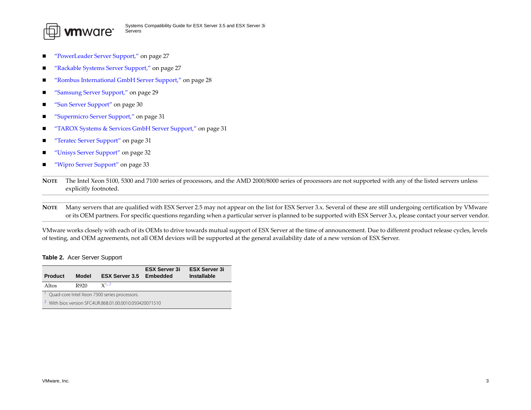

- п ["PowerLeader](#page-26-1) Server Support," on page <sup>27</sup>
- "Rackable Systems Server [Support,"](#page-26-2) on page <sup>27</sup>
- п ■ *"*Rombus [International](#page-27-0) GmbH Server Support," on page 28
- ["Samsung](#page-28-0) Server Support," on page 29
- п "Sun Server [Support"](#page-29-0) on page 30
- п ["Supermicro](#page-30-1) Server Support," on page 31
- "TAROX Systems & Services GmbH Server [Support,"](#page-30-0) on page 31
- "Teratec Server [Support"](#page-30-2) on page 31
- "Unisys Server [Support"](#page-31-0) on page 32
- $\blacksquare$ "Wipro Server [Support"](#page-32-0) on page 33

**NOTE** The Intel Xeon 5100, 5300 and 7100 series of processors, and the AMD 2000/8000 series of processors are not supported with any of the listed servers unless explicitly footnoted.

**NOTE** Many servers that are qualified with ESX Server 2.5 may not appear on the list for ESX Server 3.x. Several of these are still undergoing certification by VMware or its OEM partners. For specific questions regarding when <sup>a</sup> particular server is planned to be supported with ESX Server 3.x, please contact your server vendor.

VMware works closely with each of its OEMs to drive towards mutual suppor<sup>t</sup> of ESX Server at the time of announcement. Due to different product release cycles, levels of testing, and OEM agreements, not all OEM devices will be supported at the general availability date of <sup>a</sup> new version of ESX Server.

#### <span id="page-2-0"></span>**Table 2.** Acer Server Support

<span id="page-2-2"></span><span id="page-2-1"></span>

| <b>Product</b> | <b>Model</b> | <b>ESX Server 3.5</b>                                             | <b>ESX Server 3i</b><br>Embedded | <b>ESX Server 3i</b><br>Installable |
|----------------|--------------|-------------------------------------------------------------------|----------------------------------|-------------------------------------|
| Altos          | R920         | $x^{1,2}$                                                         |                                  |                                     |
|                |              | Quad-core Intel Xeon 7300 series processors.                      |                                  |                                     |
|                |              | <sup>2</sup> With bios version SFC4UR.868.01.00.0010.050420071510 |                                  |                                     |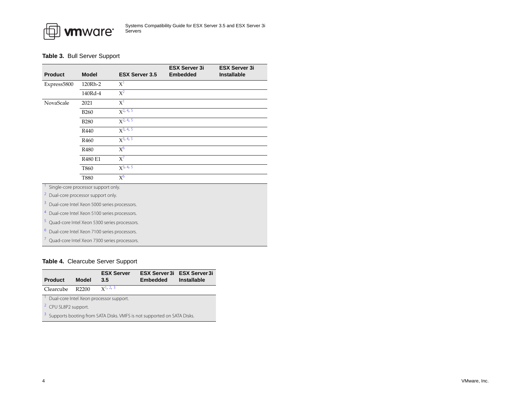

#### <span id="page-3-0"></span>**Table 3.** Bull Server Support

| <b>Product</b> | <b>Model</b>     | <b>ESX Server 3.5</b> | <b>ESX Server 3i</b><br><b>Embedded</b> | <b>ESX Server 3i</b><br><b>Installable</b> |
|----------------|------------------|-----------------------|-----------------------------------------|--------------------------------------------|
| Express5800    | 120Rh-2          | $X^1$                 |                                         |                                            |
|                | 140Rd-4          | $X^2$                 |                                         |                                            |
| NovaScale      | 2021             | $X^1$                 |                                         |                                            |
|                | <b>B260</b>      | $X^2$ , 4, 5          |                                         |                                            |
|                | <b>B280</b>      | $x^2$ , 4, 5          |                                         |                                            |
|                | R440             | $x^{3, 4, 5}$         |                                         |                                            |
|                | R <sub>460</sub> | $X^{3, 4, 5}$         |                                         |                                            |
|                | R480             | $X^6$                 |                                         |                                            |
|                | R480 E1          | $X^7$                 |                                         |                                            |
|                | T860             | $X^3$ , 4, 5          |                                         |                                            |
|                | T880             | $X^6$                 |                                         |                                            |

<span id="page-3-3"></span>Single-core processor support only.

<span id="page-3-2"></span>2Dual-core processor support only.

<span id="page-3-7"></span>3Dual-core Intel Xeon 5000 series processors.

<span id="page-3-4"></span>4Dual-core Intel Xeon 5100 series processors.

<span id="page-3-6"></span>Quad-core Intel Xeon 5300 series processors.

<span id="page-3-8"></span>6Dual-core Intel Xeon 7100 series processors.

<span id="page-3-5"></span>7Quad-core Intel Xeon 7300 series processors.

# <span id="page-3-1"></span>**Table 4.** Clearcube Server Support

<span id="page-3-11"></span><span id="page-3-10"></span><span id="page-3-9"></span>

| <b>Product</b>                                                                      | Model | <b>ESX Server</b><br>3.5 | <b>Embedded</b> | <b>ESX Server 3i ESX Server 3i</b><br><b>Installable</b> |  |
|-------------------------------------------------------------------------------------|-------|--------------------------|-----------------|----------------------------------------------------------|--|
| Clearcube                                                                           | R2200 | $x^1$ , 2, 3             |                 |                                                          |  |
| Dual-core Intel Xeon processor support.                                             |       |                          |                 |                                                          |  |
| <sup>2</sup> CPU SL8P2 support.                                                     |       |                          |                 |                                                          |  |
| <sup>3</sup> Supports booting from SATA Disks. VMFS is not supported on SATA Disks. |       |                          |                 |                                                          |  |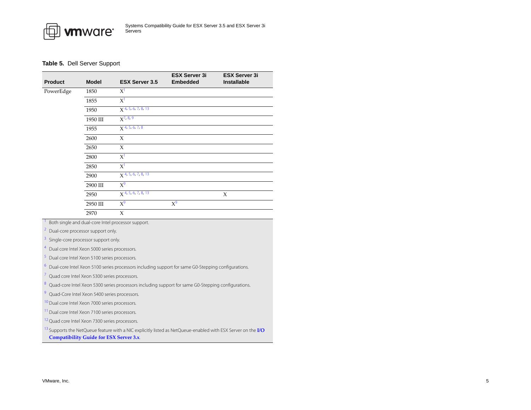

#### <span id="page-4-0"></span>**Table 5.** Dell Server Support

| <b>Product</b> | <b>Model</b> | <b>ESX Server 3.5</b>            | <b>ESX Server 3i</b><br><b>Embedded</b> | <b>ESX Server 3i</b><br>Installable |
|----------------|--------------|----------------------------------|-----------------------------------------|-------------------------------------|
| PowerEdge      | 1850         | $X^1$                            |                                         |                                     |
|                | 1855         | X <sup>1</sup>                   |                                         |                                     |
|                | 1950         | $X$ <sup>4, 5, 6, 7, 8, 13</sup> |                                         |                                     |
|                | 1950 III     | $X^{7, 8, 9}$                    |                                         |                                     |
|                | 1955         | $X$ <sup>4, 5, 6, 7, 8</sup>     |                                         |                                     |
|                | 2600         | X                                |                                         |                                     |
|                | 2650         | X                                |                                         |                                     |
|                | 2800         | $X^1$                            |                                         |                                     |
|                | 2850         | $X^1$                            |                                         |                                     |
|                | 2900         | $X$ <sup>4, 5, 6, 7, 8, 13</sup> |                                         |                                     |
|                | 2900 III     | $X^9$                            |                                         |                                     |
|                | 2950         | $X$ <sup>4, 5, 6, 7, 8, 13</sup> |                                         | X                                   |
|                | 2950 III     | $X^9$                            | $X^9$                                   |                                     |
|                | 2970         | X                                |                                         |                                     |

<span id="page-4-1"></span>Both single and dual-core Intel processor support.

2Dual-core processor support only.

3Single-core processor support only.

<span id="page-4-2"></span>4Dual core Intel Xeon 5000 series processors.

<span id="page-4-3"></span>Dual core Intel Xeon 5100 series processors.

<span id="page-4-4"></span>Dual-core Intel Xeon 5100 series processors including support for same G0-Stepping configurations.

<span id="page-4-5"></span>7Quad core Intel Xeon 5300 series processors.

<span id="page-4-6"></span>Quad-core Intel Xeon 5300 series processors including support for same G0-Stepping configurations.

<span id="page-4-8"></span>9Quad-Core Intel Xeon 5400 series processors.

<span id="page-4-9"></span><sup>10</sup> Dual core Intel Xeon 7000 series processors.

<span id="page-4-10"></span><sup>11</sup> Dual core Intel Xeon 7100 series processors.

<span id="page-4-11"></span><sup>12</sup> Quad core Intel Xeon 7300 series processors.

<span id="page-4-7"></span>13 Supports the NetQueue feature with a NIC explicitly listed as NetQueue-enabled with ESX Server on the **[I/O](http://www.vmware.com/pdf/vi3_io_guide.pdf) [Compatibility](http://www.vmware.com/pdf/vi3_io_guide.pdf) Guide for ESX Server 3.x**.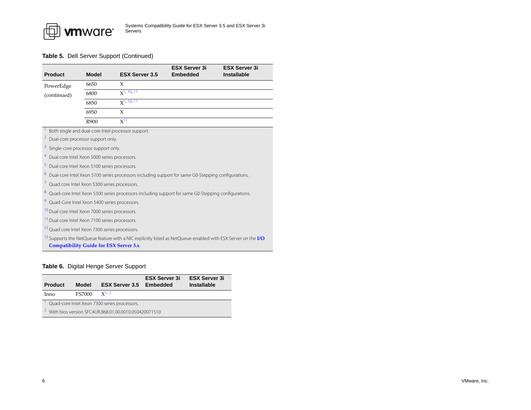

|                                                                |              |                                                                                                                                | <b>ESX Server 3i</b> | <b>ESX Server 3i</b> |  |
|----------------------------------------------------------------|--------------|--------------------------------------------------------------------------------------------------------------------------------|----------------------|----------------------|--|
| <b>Product</b>                                                 | <b>Model</b> | <b>ESX Server 3.5</b>                                                                                                          | <b>Embedded</b>      | <b>Installable</b>   |  |
| PowerEdge                                                      | 6650         | X                                                                                                                              |                      |                      |  |
| (continued)                                                    | 6800         | $x$ <sup>1</sup> , 10, 11                                                                                                      |                      |                      |  |
|                                                                | 6850         | $X$ <sup>1, 10, 11</sup>                                                                                                       |                      |                      |  |
|                                                                | 6950         | X                                                                                                                              |                      |                      |  |
|                                                                | R900         | $X^{12}$                                                                                                                       |                      |                      |  |
|                                                                |              | Both single and dual-core Intel processor support.                                                                             |                      |                      |  |
| $\mathbf{Z}$<br>Dual-core processor support only.              |              |                                                                                                                                |                      |                      |  |
| 3<br>Single-core processor support only.                       |              |                                                                                                                                |                      |                      |  |
| $\overline{4}$<br>Dual core Intel Xeon 5000 series processors. |              |                                                                                                                                |                      |                      |  |
| 5<br>Dual core Intel Xeon 5100 series processors.              |              |                                                                                                                                |                      |                      |  |
| 6                                                              |              | Dual-core Intel Xeon 5100 series processors including support for same G0-Stepping configurations.                             |                      |                      |  |
| 7 Quad core Intel Xeon 5300 series processors.                 |              |                                                                                                                                |                      |                      |  |
| 8                                                              |              | Quad-core Intel Xeon 5300 series processors including support for same G0-Stepping configurations.                             |                      |                      |  |
| <sup>9</sup> Quad-Core Intel Xeon 5400 series processors.      |              |                                                                                                                                |                      |                      |  |
| <sup>10</sup> Dual core Intel Xeon 7000 series processors.     |              |                                                                                                                                |                      |                      |  |
| <sup>11</sup> Dual core Intel Xeon 7100 series processors.     |              |                                                                                                                                |                      |                      |  |
| <sup>12</sup> Quad core Intel Xeon 7300 series processors.     |              |                                                                                                                                |                      |                      |  |
| <b>Compatibility Guide for ESX Server 3.x.</b>                 |              | <sup>13</sup> Supports the NetQueue feature with a NIC explicitly listed as NetQueue-enabled with ESX Server on the <b>I/O</b> |                      |                      |  |

#### <span id="page-5-0"></span>**Table 6.** Digital Henge Server Support

<span id="page-5-2"></span><span id="page-5-1"></span>

| <b>Product</b>                               | Model                                                             | <b>ESX Server 3.5</b> | <b>ESX Server 3i</b><br><b>Embedded</b> | <b>ESX Server 3i</b><br><b>Installable</b> |  |  |
|----------------------------------------------|-------------------------------------------------------------------|-----------------------|-----------------------------------------|--------------------------------------------|--|--|
| Inno                                         | <b>FS7000</b>                                                     | $x^{1,2}$             |                                         |                                            |  |  |
| Quad-core Intel Xeon 7300 series processors. |                                                                   |                       |                                         |                                            |  |  |
|                                              | <sup>2</sup> With bios version SFC4UR.868.01.00.0010.050420071510 |                       |                                         |                                            |  |  |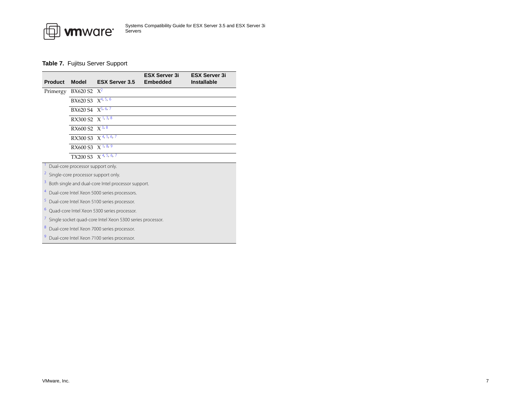

# <span id="page-6-0"></span>**Table 7.** Fujitsu Server Support

| <b>Product</b> | <b>Model</b>                                                    | <b>ESX Server 3.5</b>                                     | <b>ESX Server 3i</b><br><b>Embedded</b> | <b>ESX Server 3i</b><br><b>Installable</b> |  |
|----------------|-----------------------------------------------------------------|-----------------------------------------------------------|-----------------------------------------|--------------------------------------------|--|
| Primergy       | $BX620 S2 X^2$                                                  |                                                           |                                         |                                            |  |
|                | BX620 S3 $X^{4, 5, 6}$                                          |                                                           |                                         |                                            |  |
|                | BX620 S4 $X^{5,6,7}$                                            |                                                           |                                         |                                            |  |
|                | RX300 S2 $X^{\frac{1}{7},\frac{3}{5},\frac{8}{5}}$              |                                                           |                                         |                                            |  |
|                | RX600 S2 $\overline{X^{3,8}}$                                   |                                                           |                                         |                                            |  |
|                | RX300 S3 $\chi$ <sup>4, 5, 6, 7</sup>                           |                                                           |                                         |                                            |  |
|                | RX600 S3 $X^{\frac{1}{7},\frac{8}{9}}$                          |                                                           |                                         |                                            |  |
|                | TX200 S3 $\overline{X}^{4,5,6,7}$                               |                                                           |                                         |                                            |  |
|                | Dual-core processor support only.                               |                                                           |                                         |                                            |  |
|                | <sup>2</sup> Single-core processor support only.                |                                                           |                                         |                                            |  |
|                | <sup>3</sup> Both single and dual-core Intel processor support. |                                                           |                                         |                                            |  |
|                |                                                                 | <sup>4</sup> Dual-core Intel Xeon 5000 series processors. |                                         |                                            |  |
|                |                                                                 | <sup>5</sup> Dual-core Intel Xeon 5100 series processor.  |                                         |                                            |  |
| .              |                                                                 |                                                           |                                         |                                            |  |

<span id="page-6-9"></span><span id="page-6-6"></span><span id="page-6-5"></span><span id="page-6-3"></span><span id="page-6-2"></span><span id="page-6-1"></span>Quad-core Intel Xeon 5300 series processor.

<span id="page-6-4"></span>7Single socket quad-core Intel Xeon 5300 series processor.

<span id="page-6-7"></span>Dual-core Intel Xeon 7000 series processor.

<span id="page-6-8"></span>9Dual-core Intel Xeon 7100 series processor.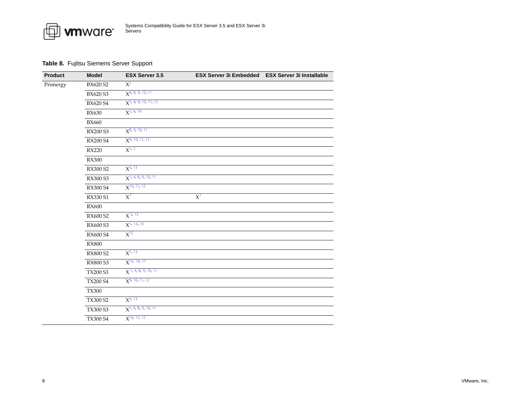

# <span id="page-7-0"></span>**Table 8.** Fujitsu Siemens Server Support

| <b>Product</b> | <b>Model</b>    | <b>ESX Server 3.5</b>              | ESX Server 3i Embedded ESX Server 3i Installable |  |
|----------------|-----------------|------------------------------------|--------------------------------------------------|--|
| Primergy       | BX620 S2        | $X^2$                              |                                                  |  |
|                | <b>BX620 S3</b> | $X^{4, 8, 9, 10, 11}$              |                                                  |  |
|                | BX620 S4        | $X$ <sup>1, 4, 9, 10, 11, 12</sup> |                                                  |  |
|                | <b>BX630</b>    | $X^{1, 6, 16}$                     |                                                  |  |
|                | <b>BX660</b>    |                                    |                                                  |  |
|                | RX200 S3        | $X^{8, 9, 10, 11}$                 |                                                  |  |
|                | RX200 S4        | $X9$ , 10, 11, 12                  |                                                  |  |
|                | <b>RX220</b>    | $X^{1, 5}$                         |                                                  |  |
|                | <b>RX300</b>    |                                    |                                                  |  |
|                | RX300 S2        | $X^{3, 13}$                        |                                                  |  |
|                | RX300 S3        | $X$ <sup>1</sup> , 4, 8, 9, 10, 11 |                                                  |  |
|                | RX300 S4        | $X$ <sup>10, 11, 12</sup>          |                                                  |  |
|                | RX330 S1        | $X^7$                              | $X^7$                                            |  |
|                | <b>RX600</b>    |                                    |                                                  |  |
|                | RX600 S2        | $X^{3, 13}$                        |                                                  |  |
|                | RX600 S3        | $X^{1, 13, 14}$                    |                                                  |  |
|                | RX600 S4        | $X^{15}$                           |                                                  |  |
|                | <b>RX800</b>    |                                    |                                                  |  |
|                | <b>RX800 S2</b> | $X^{1, 13}$                        |                                                  |  |
|                | RX800 S3        | $X^{13, 14, 17}$                   |                                                  |  |
|                | <b>TX200 S3</b> | $X$ <sup>1, 4, 8, 9, 10, 11</sup>  |                                                  |  |
|                | <b>TX200 S4</b> | $X9$ , 10, 11, 12                  |                                                  |  |
|                | <b>TX300</b>    |                                    |                                                  |  |
|                | <b>TX300 S2</b> | $X^{3, 13}$                        |                                                  |  |
|                | <b>TX300 S3</b> | $X$ <sup>1, 4, 8, 9, 10, 11</sup>  |                                                  |  |
|                | <b>TX300 S4</b> | $X$ <sup>10, 11, 12</sup>          |                                                  |  |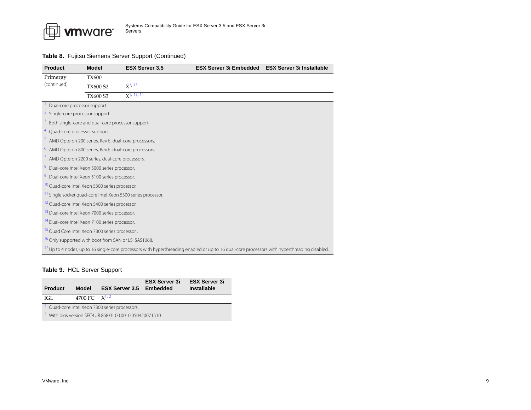

#### **Table 8.** Fujitsu Siemens Server Support (Continued)

<span id="page-8-14"></span><span id="page-8-11"></span><span id="page-8-10"></span><span id="page-8-8"></span><span id="page-8-7"></span><span id="page-8-3"></span><span id="page-8-2"></span><span id="page-8-1"></span>

| <b>Product</b>                                            | <b>Model</b>                                                      | <b>ESX Server 3.5</b>                                                   | <b>ESX Server 3i Embedded</b>                                                                                                                           | <b>ESX Server 3i Installable</b> |  |
|-----------------------------------------------------------|-------------------------------------------------------------------|-------------------------------------------------------------------------|---------------------------------------------------------------------------------------------------------------------------------------------------------|----------------------------------|--|
| Primergy                                                  | <b>TX600</b>                                                      |                                                                         |                                                                                                                                                         |                                  |  |
| (continued)                                               | <b>TX600 S2</b>                                                   | $X^{3, 13}$                                                             |                                                                                                                                                         |                                  |  |
|                                                           | TX600 S3                                                          | $X1$ , 13, 14                                                           |                                                                                                                                                         |                                  |  |
| Dual-core processor support.                              |                                                                   |                                                                         |                                                                                                                                                         |                                  |  |
| $\overline{a}$<br>Single-core processor support.          |                                                                   |                                                                         |                                                                                                                                                         |                                  |  |
| 3                                                         | Both single-core and dual-core processor support.                 |                                                                         |                                                                                                                                                         |                                  |  |
| <sup>4</sup> Quad-core processor support.                 |                                                                   |                                                                         |                                                                                                                                                         |                                  |  |
|                                                           | <sup>5</sup> AMD Opteron 200 series, Rev E, dual-core processors. |                                                                         |                                                                                                                                                         |                                  |  |
|                                                           | <sup>6</sup> AMD Opteron 800 series, Rev E, dual-core processors. |                                                                         |                                                                                                                                                         |                                  |  |
|                                                           | <sup>7</sup> AMD Opteron 2200 series, dual-core processors.       |                                                                         |                                                                                                                                                         |                                  |  |
| 8                                                         | Dual-core Intel Xeon 5000 series processor.                       |                                                                         |                                                                                                                                                         |                                  |  |
|                                                           | Dual-core Intel Xeon 5100 series processor.                       |                                                                         |                                                                                                                                                         |                                  |  |
|                                                           | <sup>10</sup> Quad-core Intel Xeon 5300 series processor.         |                                                                         |                                                                                                                                                         |                                  |  |
|                                                           |                                                                   | <sup>11</sup> Single socket quad-core Intel Xeon 5300 series processor. |                                                                                                                                                         |                                  |  |
|                                                           | <sup>12</sup> Quad-core Intel Xeon 5400 series processor.         |                                                                         |                                                                                                                                                         |                                  |  |
|                                                           | <sup>13</sup> Dual-core Intel Xeon 7000 series processor.         |                                                                         |                                                                                                                                                         |                                  |  |
| <sup>14</sup> Dual-core Intel Xeon 7100 series processor. |                                                                   |                                                                         |                                                                                                                                                         |                                  |  |
| <sup>15</sup> Quad Core Intel Xeon 7300 series processor. |                                                                   |                                                                         |                                                                                                                                                         |                                  |  |
|                                                           | <sup>16</sup> Only supported with boot from SAN or LSI SAS1068.   |                                                                         |                                                                                                                                                         |                                  |  |
|                                                           |                                                                   |                                                                         | <sup>17</sup> Up to 4 nodes, up to 16 single-core processors with hyperthreading enabled or up to 16 dual-core processors with hyperthreading disabled. |                                  |  |

# <span id="page-8-17"></span><span id="page-8-16"></span><span id="page-8-15"></span><span id="page-8-13"></span><span id="page-8-12"></span><span id="page-8-9"></span><span id="page-8-6"></span><span id="page-8-5"></span><span id="page-8-4"></span><span id="page-8-0"></span>**Table 9.** HCL Server Support

<span id="page-8-19"></span><span id="page-8-18"></span>

| <b>Product</b>                               | <b>Model</b>      | <b>ESX Server 3.5 Embedded</b>                                     | <b>ESX Server 3i</b> | <b>ESX Server 3i</b><br>Installable |
|----------------------------------------------|-------------------|--------------------------------------------------------------------|----------------------|-------------------------------------|
| IGL.                                         | 4700 FC $X^{1,2}$ |                                                                    |                      |                                     |
| Quad-core Intel Xeon 7300 series processors. |                   |                                                                    |                      |                                     |
|                                              |                   | $\frac{2}{1}$ With bios version SEC4UR.868.01.00.0010.050420071510 |                      |                                     |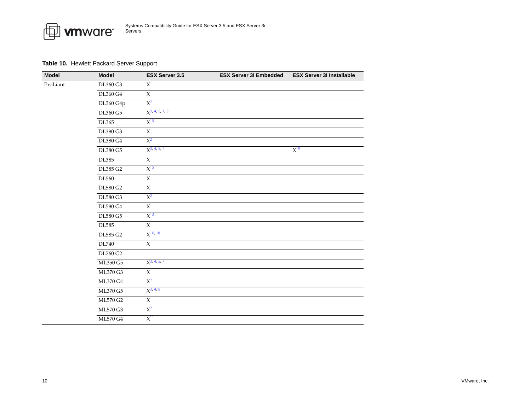

# <span id="page-9-0"></span>**Table 10.** Hewlett Packard Server Support

| <b>Model</b>                         | <b>Model</b>    | <b>ESX Server 3.5</b> | <b>ESX Server 3i Embedded</b> | <b>ESX Server 3i Installable</b> |
|--------------------------------------|-----------------|-----------------------|-------------------------------|----------------------------------|
| ProLiant                             | DL360 G3        | $\mathsf X$           |                               |                                  |
|                                      | <b>DL360 G4</b> | $\mathsf X$           |                               |                                  |
|                                      | DL360 G4p       | $\overline{X^2}$      |                               |                                  |
|                                      | <b>DL360 G5</b> | $X^{3,4,5,7,8}$       |                               |                                  |
|                                      | DL365           | $X^{15}$              |                               |                                  |
|                                      | DL380 G3        | $\mathsf X$           |                               |                                  |
|                                      | <b>DL380 G4</b> | $X^2$                 |                               |                                  |
|                                      | <b>DL380 G5</b> | $X^{3, 4, 5, 7}$      |                               | $X^{19}$                         |
|                                      | DL385           | $X^1$                 |                               |                                  |
| DL385 G2<br><b>DL560</b><br>DL580 G2 | $X^{15}$        |                       |                               |                                  |
|                                      |                 | $\overline{X}$        |                               |                                  |
|                                      |                 | $\mathsf X$           |                               |                                  |
|                                      | <b>DL580 G3</b> | $X^2$                 |                               |                                  |
|                                      | <b>DL580 G4</b> | $X^{11}$              |                               |                                  |
|                                      | DL580 G5        | $X^{13}$              |                               |                                  |
|                                      | <b>DL585</b>    | $X^1$                 |                               |                                  |
|                                      | DL585 G2        | $X^{16, 18}$          |                               |                                  |
|                                      | DL740           | $\mathsf X$           |                               |                                  |
|                                      | <b>DL760 G2</b> |                       |                               |                                  |
|                                      | ML350 G5        | $X^{3, 4, 5, 7}$      |                               |                                  |
|                                      | <b>ML370 G3</b> | $\mathsf X$           |                               |                                  |
|                                      | ML370 G4        | $X^2$                 |                               |                                  |
|                                      | ML370 G5        | $X^{3, 4, 8}$         |                               |                                  |
|                                      | ML570 G2        | $\mathsf X$           |                               |                                  |
|                                      | <b>ML570 G3</b> | $X^2$                 |                               |                                  |
|                                      | <b>ML570 G4</b> | $X^{11}$              |                               |                                  |

 $\sim$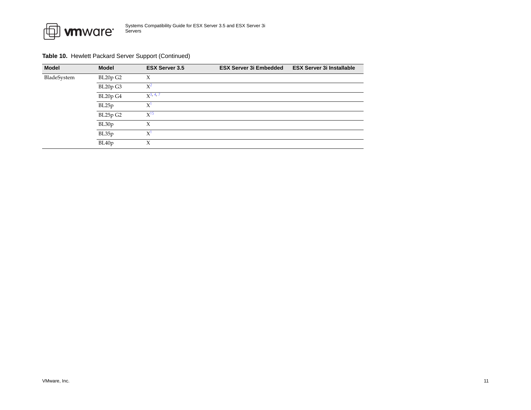

#### **Table 10.** Hewlett Packard Server Support (Continued)

| <b>Model</b> | <b>Model</b>       | <b>ESX Server 3.5</b> | <b>ESX Server 3i Embedded</b> | <b>ESX Server 3i Installable</b> |
|--------------|--------------------|-----------------------|-------------------------------|----------------------------------|
| BladeSystem  | BL20p G2           | Х                     |                               |                                  |
|              | BL20p G3           | $X^2$                 |                               |                                  |
|              | BL20p G4           | $X^{3, 4, 7}$         |                               |                                  |
|              | BL25p              | $X^1$                 |                               |                                  |
|              | BL25p G2           | $X^{15}$              |                               |                                  |
|              | BL30p              | X                     |                               |                                  |
|              | BL35p              | $X^1$                 |                               |                                  |
|              | BL <sub>40</sub> p | Χ                     |                               |                                  |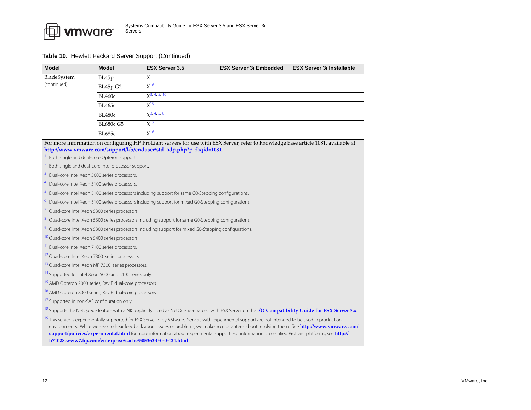

#### **Table 10.** Hewlett Packard Server Support (Continued)

| <b>Model</b> | <b>Model</b>     | <b>ESX Server 3.5</b>          | <b>ESX Server 3i Embedded</b> | <b>ESX Server 3i Installable</b> |
|--------------|------------------|--------------------------------|-------------------------------|----------------------------------|
| BladeSystem  | BL45p            | X                              |                               |                                  |
| (continued)  | BL45p G2         | $X^{16}$                       |                               |                                  |
|              | <b>BL460c</b>    | $\chi$ <sup>3</sup> , 4, 5, 10 |                               |                                  |
|              | <b>BL465c</b>    | $X^{15}$                       |                               |                                  |
|              | <b>BL480c</b>    | $\chi$ <sup>3</sup> , 4, 5, 8  |                               |                                  |
|              | <b>BL680c G5</b> | $X^{12}$                       |                               |                                  |
|              | <b>BL685c</b>    | $X^{16}$                       |                               |                                  |

For more information on configuring HP ProLiant servers for use with ESX Server, refer to knowledge base article 1081, available at **[http://www.vmware.com/support/kb/enduser/std\\_adp.php?p\\_faqid=1081](http://www.vmware.com/support/kb/enduser/std_adp.php?p_faqid=1081)**.

<span id="page-11-7"></span>Both single and dual-core Opteron support.

<span id="page-11-0"></span>2Both single and dual-core Intel processor support.

<span id="page-11-1"></span>3Dual-core Intel Xeon 5000 series processors.

<span id="page-11-2"></span>4Dual-core Intel Xeon 5100 series processors.

<span id="page-11-3"></span>Dual-core Intel Xeon 5100 series processors including support for same G0-Stepping configurations.

Dual-core Intel Xeon 5100 series processors including support for mixed G0-Stepping configurations.

<span id="page-11-4"></span>7Quad-core Intel Xeon 5300 series processors.

<span id="page-11-12"></span>Quad-core Intel Xeon 5300 series processors including support for same G0-Stepping configurations.

9Quad-core Intel Xeon 5300 series processors including support for mixed G0-Stepping configurations.

<span id="page-11-13"></span><sup>10</sup> Quad-core Intel Xeon 5400 series processors.

<span id="page-11-8"></span>Dual-core Intel Xeon 7100 series processors.

<span id="page-11-14"></span><sup>12</sup> Quad-core Intel Xeon 7300 series processors.

<span id="page-11-9"></span><sup>13</sup> Quad-core Intel Xeon MP 7300 series processors.

<sup>14</sup> Supported for Intel Xeon 5000 and 5100 series only.

<span id="page-11-5"></span><sup>15</sup> AMD Opteron 2000 series, Rev F, dual-core processors.

<span id="page-11-10"></span><sup>16</sup> AMD Opteron 8000 series, Rev F, dual-core processors.

<sup>17</sup> Supported in non-SAS configuration only.

<span id="page-11-11"></span>18 Supports the NetQueue feature with a NIC explicitly listed as NetQueue-enabled with ESX Server on the **I/O [Compatibility](http://www.vmware.com/pdf/vi3_io_guide.pdf) Guide for ESX Server 3.x**.

<span id="page-11-6"></span><sup>19</sup> This server is experimentally supported for ESX Server 3i by VMware. Servers with experimental support are not intended to be used in production environments. While we seek to hear feedback about issues or problems, we make no guarantees about resolving them. See **[http://www.vmware.com/](http://www.vmware.com/support/policies/experimental.html) suppor[t/policies/experimental.html](http://www.vmware.com/support/policies/experimental.html)** for more information about experimental support. For information on certified ProLiant platforms, see **[http://](http://h71028.www7.hp.com/enterprise/cache/505363-0-0-0-121.html) [h71028.www7.hp.com/enterprise/cache/505363](http://h71028.www7.hp.com/enterprise/cache/505363-0-0-0-121.html)‐0‐0‐0‐121.html**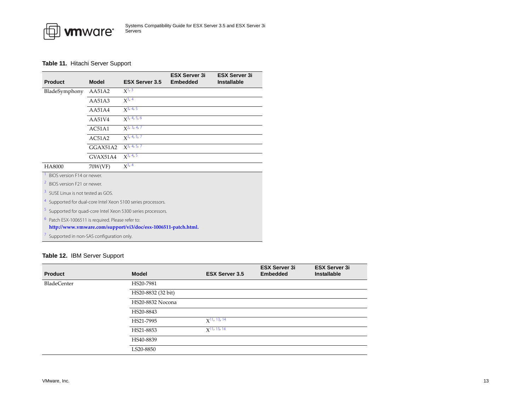

# <span id="page-12-0"></span>**Table 11.** Hitachi Server Support

|                                              |                                                                                                                  |                                                            | <b>ESX Server 3i</b> | <b>ESX Server 3i</b> |  |  |  |
|----------------------------------------------|------------------------------------------------------------------------------------------------------------------|------------------------------------------------------------|----------------------|----------------------|--|--|--|
| <b>Product</b>                               | <b>Model</b>                                                                                                     | <b>ESX Server 3.5</b>                                      | <b>Embedded</b>      | <b>Installable</b>   |  |  |  |
| BladeSymphony                                | AA51A2                                                                                                           | $X^{1,3}$                                                  |                      |                      |  |  |  |
|                                              | AA51A3                                                                                                           | $X^{3, 4}$                                                 |                      |                      |  |  |  |
|                                              | AA51A4                                                                                                           | $X^3$ , 4, 5                                               |                      |                      |  |  |  |
|                                              | AA51V4                                                                                                           | $x^{3, 4, 5, 6}$                                           |                      |                      |  |  |  |
|                                              | AC51A1                                                                                                           | $X^2$ , 3, 4, 7                                            |                      |                      |  |  |  |
|                                              | AC51A2                                                                                                           | $X^{3, 4, 5, 7}$                                           |                      |                      |  |  |  |
|                                              | GGAX51A2                                                                                                         | $X^3$ , 4, 5, 7                                            |                      |                      |  |  |  |
|                                              | GVAX51A4                                                                                                         | $X^{3, 4, 5}$                                              |                      |                      |  |  |  |
| HA8000                                       | 70W(VF)                                                                                                          | $X^{3, 4}$                                                 |                      |                      |  |  |  |
| BIOS version F14 or newer.                   |                                                                                                                  |                                                            |                      |                      |  |  |  |
| $\overline{z}$<br>BIOS version F21 or newer. |                                                                                                                  |                                                            |                      |                      |  |  |  |
| 3<br>SUSE Linux is not tested as GOS.        |                                                                                                                  |                                                            |                      |                      |  |  |  |
|                                              |                                                                                                                  | Supported for dual-core Intel Xeon 5100 series processors. |                      |                      |  |  |  |
| 5                                            |                                                                                                                  | Supported for quad-core Intel Xeon 5300 series processors. |                      |                      |  |  |  |
| 6                                            | Patch ESX-1006511 is required. Please refer to:<br>http://www.vmware.com/support/vi3/doc/esx-1006511-patch.html. |                                                            |                      |                      |  |  |  |
| Supported in non-SAS configuration only.     |                                                                                                                  |                                                            |                      |                      |  |  |  |

# <span id="page-12-8"></span><span id="page-12-7"></span><span id="page-12-6"></span><span id="page-12-5"></span><span id="page-12-4"></span><span id="page-12-3"></span><span id="page-12-2"></span><span id="page-12-1"></span>**Table 12.** IBM Server Support

| <b>Product</b>     | <b>Model</b>       | <b>ESX Server 3.5</b> | <b>ESX Server 3i</b><br><b>Embedded</b> | <b>ESX Server 3i</b><br><b>Installable</b> |
|--------------------|--------------------|-----------------------|-----------------------------------------|--------------------------------------------|
| <b>BladeCenter</b> | HS20-7981          |                       |                                         |                                            |
|                    | HS20-8832 (32 bit) |                       |                                         |                                            |
|                    | HS20-8832 Nocona   |                       |                                         |                                            |
|                    | HS20-8843          |                       |                                         |                                            |
|                    | HS21-7995          | $X^{11, 13, 14}$      |                                         |                                            |
|                    | HS21-8853          | $X^{11, 13, 14}$      |                                         |                                            |
|                    | HS40-8839          |                       |                                         |                                            |
|                    | LS20-8850          |                       |                                         |                                            |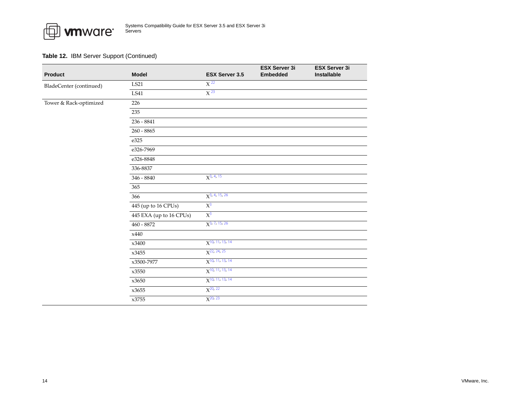

| <b>Product</b>          | <b>Model</b>            | <b>ESX Server 3.5</b>         | <b>ESX Server 3i</b><br><b>Embedded</b> | <b>ESX Server 3i</b><br>Installable |
|-------------------------|-------------------------|-------------------------------|-----------------------------------------|-------------------------------------|
| BladeCenter (continued) | <b>LS21</b>             | $X^{22}$                      |                                         |                                     |
|                         | <b>LS41</b>             | $X^{23}$                      |                                         |                                     |
| Tower & Rack-optimized  | 226                     |                               |                                         |                                     |
|                         | 235                     |                               |                                         |                                     |
|                         | $236 - 8841$            |                               |                                         |                                     |
|                         | $260 - 8865$            |                               |                                         |                                     |
|                         | e325                    |                               |                                         |                                     |
|                         | e326-7969               |                               |                                         |                                     |
|                         | e326-8848               |                               |                                         |                                     |
|                         | 336-8837                |                               |                                         |                                     |
|                         | $346 - 8840$            | $X^{3, 4, 15}$                |                                         |                                     |
|                         | 365                     |                               |                                         |                                     |
|                         | 366                     | $X^{3, 4, 15, 26}$            |                                         |                                     |
|                         | 445 (up to 16 CPUs)     | $\overline{X}^3$              |                                         |                                     |
|                         | 445 EXA (up to 16 CPUs) | $X^3$                         |                                         |                                     |
|                         | $460 - 8872$            | $X^3$ , 7, 15, 26             |                                         |                                     |
|                         | x440                    |                               |                                         |                                     |
|                         | x3400                   | $X^{10, 11, 13, 14}$          |                                         |                                     |
|                         | x3455                   | $X^{22, 24, 25}$              |                                         |                                     |
|                         | x3500-7977              | $X^{10, 11, 13, 14}$          |                                         |                                     |
|                         | x3550                   | $X$ <sup>10, 11, 13, 14</sup> |                                         |                                     |
|                         | x3650                   | $X$ <sup>10, 11, 13, 14</sup> |                                         |                                     |
|                         | x3655                   | $X^{20, 22}$                  |                                         |                                     |
|                         | x3755                   | $X^{20, 23}$                  |                                         |                                     |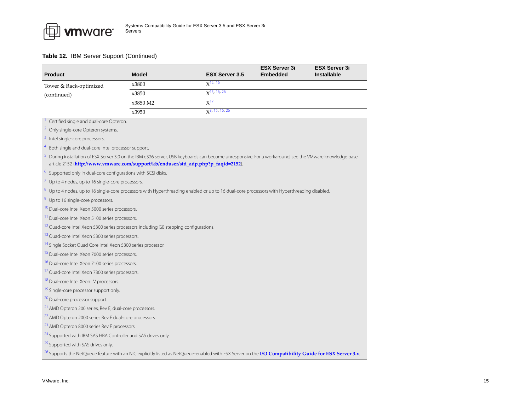<span id="page-14-16"></span><span id="page-14-15"></span><span id="page-14-14"></span><span id="page-14-13"></span><span id="page-14-12"></span><span id="page-14-11"></span><span id="page-14-10"></span><span id="page-14-9"></span><span id="page-14-8"></span><span id="page-14-7"></span><span id="page-14-6"></span><span id="page-14-5"></span><span id="page-14-4"></span><span id="page-14-3"></span><span id="page-14-2"></span><span id="page-14-1"></span><span id="page-14-0"></span>

| <b>Product</b>                                                                                  | <b>Model</b> | <b>ESX Server 3.5</b>                                                                                                                                            | <b>ESX Server 3i</b><br><b>Embedded</b> | <b>ESX Server 3i</b><br><b>Installable</b> |
|-------------------------------------------------------------------------------------------------|--------------|------------------------------------------------------------------------------------------------------------------------------------------------------------------|-----------------------------------------|--------------------------------------------|
| Tower & Rack-optimized                                                                          | x3800        | $X^{15, 16}$                                                                                                                                                     |                                         |                                            |
| (continued)                                                                                     | x3850        | $X$ <sup>15, 16, 26</sup>                                                                                                                                        |                                         |                                            |
|                                                                                                 | x3850 M2     | $X^{17}$                                                                                                                                                         |                                         |                                            |
|                                                                                                 | x3950        | $x^{8}$ , 15, 16, 26                                                                                                                                             |                                         |                                            |
| Certified single and dual-core Opteron.                                                         |              |                                                                                                                                                                  |                                         |                                            |
| <sup>2</sup> Only single-core Opteron systems.                                                  |              |                                                                                                                                                                  |                                         |                                            |
| <sup>3</sup> Intel single-core processors.                                                      |              |                                                                                                                                                                  |                                         |                                            |
| Both single and dual-core Intel processor support.                                              |              |                                                                                                                                                                  |                                         |                                            |
| article 2152 (http://www.vmware.com/support/kb/enduser/std_adp.php?p_faqid=2152).               |              | 5 During installation of ESX Server 3.0 on the IBM e326 server, USB keyboards can become unresponsive. For a workaround, see the VMware knowledge base           |                                         |                                            |
| <sup>6</sup> Supported only in dual-core configurations with SCSI disks.                        |              |                                                                                                                                                                  |                                         |                                            |
| 7 Up to 4 nodes, up to 16 single-core processors.                                               |              |                                                                                                                                                                  |                                         |                                            |
|                                                                                                 |              | 8 Up to 4 nodes, up to 16 single-core processors with Hyperthreading enabled or up to 16 dual-core processors with Hyperthreading disabled.                      |                                         |                                            |
| <sup>9</sup> Up to 16 single-core processors.                                                   |              |                                                                                                                                                                  |                                         |                                            |
| <sup>10</sup> Dual-core Intel Xeon 5000 series processors.                                      |              |                                                                                                                                                                  |                                         |                                            |
| <sup>11</sup> Dual-core Intel Xeon 5100 series processors.                                      |              |                                                                                                                                                                  |                                         |                                            |
| <sup>12</sup> Quad-core Intel Xeon 5300 series processors including G0 stepping configurations. |              |                                                                                                                                                                  |                                         |                                            |
| <sup>13</sup> Quad-core Intel Xeon 5300 series processors.                                      |              |                                                                                                                                                                  |                                         |                                            |
| <sup>14</sup> Single Socket Quad Core Intel Xeon 5300 series processor.                         |              |                                                                                                                                                                  |                                         |                                            |
| <sup>15</sup> Dual-core Intel Xeon 7000 series processors.                                      |              |                                                                                                                                                                  |                                         |                                            |
| <sup>16</sup> Dual-core Intel Xeon 7100 series processors.                                      |              |                                                                                                                                                                  |                                         |                                            |
| <sup>17</sup> Quad-core Intel Xeon 7300 series processors.                                      |              |                                                                                                                                                                  |                                         |                                            |
| <sup>18</sup> Dual-core Intel Xeon LV processors.                                               |              |                                                                                                                                                                  |                                         |                                            |
| <sup>19</sup> Single-core processor support only.                                               |              |                                                                                                                                                                  |                                         |                                            |
| <sup>20</sup> Dual-core processor support.                                                      |              |                                                                                                                                                                  |                                         |                                            |
| <sup>21</sup> AMD Opteron 200 series, Rev E, dual-core processors.                              |              |                                                                                                                                                                  |                                         |                                            |
| <sup>22</sup> AMD Opteron 2000 series Rev F dual-core processors.                               |              |                                                                                                                                                                  |                                         |                                            |
| <sup>23</sup> AMD Opteron 8000 series Rev F processors.                                         |              |                                                                                                                                                                  |                                         |                                            |
| <sup>24</sup> Supported with IBM SAS HBA Controller and SAS drives only.                        |              |                                                                                                                                                                  |                                         |                                            |
| <sup>25</sup> Supported with SAS drives only.                                                   |              |                                                                                                                                                                  |                                         |                                            |
|                                                                                                 |              | <sup>26</sup> Supports the NetQueue feature with an NIC explicitly listed as NetQueue-enabled with ESX Server on the I/O Compatibility Guide for ESX Server 3.x. |                                         |                                            |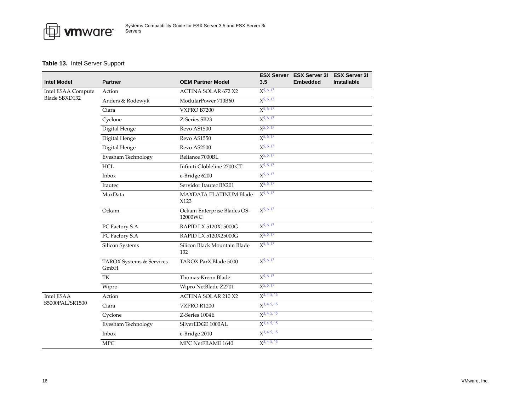

# <span id="page-15-0"></span>**Table 13.** Intel Server Support

| <b>Intel Model</b>                  | <b>Partner</b>                   | <b>OEM Partner Model</b>               | 3.5               | ESX Server ESX Server 3i ESX Server 3i<br><b>Embedded</b> | <b>Installable</b> |
|-------------------------------------|----------------------------------|----------------------------------------|-------------------|-----------------------------------------------------------|--------------------|
| Intel ESAA Compute<br>Blade SBXD132 | Action                           | <b>ACTINA SOLAR 672 X2</b>             | $X^{5,6,17}$      |                                                           |                    |
|                                     | Anders & Rodewyk                 | ModularPower 710B60                    | $X^{5,6,17}$      |                                                           |                    |
|                                     | Ciara                            | VXPRO B7200                            | $X^{5,6,17}$      |                                                           |                    |
|                                     | Cyclone                          | Z-Series SB23                          | $X^{5,6,17}$      |                                                           |                    |
|                                     | Digital Henge                    | Revo AS1500                            | $X^{5,6,17}$      |                                                           |                    |
|                                     | Digital Henge                    | Revo AS1550                            | $X^{5,6,17}$      |                                                           |                    |
|                                     | Digital Henge                    | Revo AS2500                            | $X^{5,6,17}$      |                                                           |                    |
|                                     | Evesham Technology               | Reliance 7000BL                        | $X^{5,6,17}$      |                                                           |                    |
|                                     | <b>HCL</b>                       | Infiniti Globleline 2700 CT            | $X^{5,6,17}$      |                                                           |                    |
|                                     | Inbox                            | e-Bridge 6200                          | $X^{5,6,17}$      |                                                           |                    |
|                                     | Itautec                          | Servidor Itautec BX201                 | $X^{5,6,17}$      |                                                           |                    |
|                                     | MaxData                          | MAXDATA PLATINUM Blade<br>X123         | $X^{5,6,17}$      |                                                           |                    |
|                                     | Ockam                            | Ockam Enterprise Blades OS-<br>12000WC | $X^{5,6,17}$      |                                                           |                    |
|                                     | PC Factory S.A                   | RAPID LX 5120X15000G                   | $X^{5,6,17}$      |                                                           |                    |
|                                     | PC Factory S.A                   | RAPID LX 5120X25000G                   | $X^{5,6,17}$      |                                                           |                    |
|                                     | Silicon Systems                  | Silicon Black Mountain Blade<br>132    | $X^{5,6,17}$      |                                                           |                    |
|                                     | TAROX Systems & Services<br>GmbH | TAROX ParX Blade 5000                  | $X^{5,6,17}$      |                                                           |                    |
|                                     | TK                               | Thomas-Krenn Blade                     | $X^{5,6,17}$      |                                                           |                    |
|                                     | Wipro                            | Wipro NetBlade Z2701                   | $X^{5,6,17}$      |                                                           |                    |
| Intel ESAA<br>S5000PAL/SR1500       | Action                           | <b>ACTINA SOLAR 210 X2</b>             | $X^{3, 4, 5, 15}$ |                                                           |                    |
|                                     | Ciara                            | <b>VXPRO R1200</b>                     | $X^{3,4,5,15}$    |                                                           |                    |
|                                     | Cyclone                          | Z-Series 1004E                         | $X^{3, 4, 5, 15}$ |                                                           |                    |
|                                     | Evesham Technology               | SilverEDGE 1000AL                      | $X^{3, 4, 5, 15}$ |                                                           |                    |
|                                     | Inbox                            | e-Bridge 2010                          | $X^{3, 4, 5, 15}$ |                                                           |                    |
|                                     | <b>MPC</b>                       | MPC NetFRAME 1640                      | $X^{3,4,5,15}$    |                                                           |                    |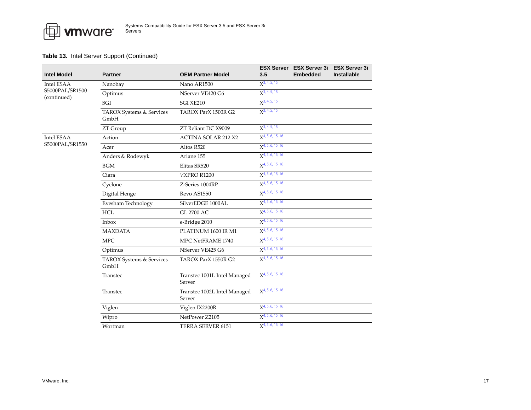| <b>Intel Model</b> | <b>Partner</b>                   | <b>OEM Partner Model</b>               | 3.5                   | <b>ESX Server</b> ESX Server 3i<br><b>Embedded</b> | <b>ESX Server 3i</b><br><b>Installable</b> |
|--------------------|----------------------------------|----------------------------------------|-----------------------|----------------------------------------------------|--------------------------------------------|
| Intel ESAA         | Nanobay                          | Nano AR1500                            | $X^{3, 4, 5, 15}$     |                                                    |                                            |
| S5000PAL/SR1500    | Optimus                          | NServer VE420 G6                       | $X^{3, 4, 5, 15}$     |                                                    |                                            |
| (continued)        | SGI                              | SGI XE210                              | $X^{3, 4, 5, 15}$     |                                                    |                                            |
|                    | TAROX Systems & Services<br>GmbH | TAROX ParX 1500R G2                    | $X^{3, 4, 5, 15}$     |                                                    |                                            |
|                    | ZT Group                         | ZT Reliant DC X9009                    | $X^{3, 4, 5, 15}$     |                                                    |                                            |
| Intel ESAA         | Action                           | <b>ACTINA SOLAR 212 X2</b>             | $X^{4, 5, 6, 15, 16}$ |                                                    |                                            |
| S5000PAL/SR1550    | Acer                             | Altos R520                             | $X^{4, 5, 6, 15, 16}$ |                                                    |                                            |
|                    | Anders & Rodewyk                 | Ariane 155                             | $X^{4, 5, 6, 15, 16}$ |                                                    |                                            |
|                    | <b>BGM</b>                       | Elitas SR520                           | $X^{4, 5, 6, 15, 16}$ |                                                    |                                            |
|                    | Ciara                            | VXPRO R1200                            | $X^{4, 5, 6, 15, 16}$ |                                                    |                                            |
|                    | Cyclone                          | Z-Series 1004RP                        | $X^{4, 5, 6, 15, 16}$ |                                                    |                                            |
|                    | Digital Henge                    | Revo AS1550                            | $X^{4, 5, 6, 15, 16}$ |                                                    |                                            |
|                    | Evesham Technology               | SilverEDGE 1000AL                      | $X^{4, 5, 6, 15, 16}$ |                                                    |                                            |
|                    | <b>HCL</b>                       | GL 2700 AC                             | $X^{4, 5, 6, 15, 16}$ |                                                    |                                            |
|                    | Inbox                            | e-Bridge 2010                          | $X^{4, 5, 6, 15, 16}$ |                                                    |                                            |
|                    | <b>MAXDATA</b>                   | PLATINUM 1600 IR M1                    | $X^{4, 5, 6, 15, 16}$ |                                                    |                                            |
|                    | <b>MPC</b>                       | MPC NetFRAME 1740                      | $X^{4, 5, 6, 15, 16}$ |                                                    |                                            |
|                    | Optimus                          | NServer VE425 G6                       | $X^{4, 5, 6, 15, 16}$ |                                                    |                                            |
|                    | TAROX Systems & Services<br>GmbH | TAROX ParX 1550R G2                    | $X^{4, 5, 6, 15, 16}$ |                                                    |                                            |
|                    | Transtec                         | Transtec 1001L Intel Managed<br>Server | $X^{4, 5, 6, 15, 16}$ |                                                    |                                            |
|                    | Transtec                         | Transtec 1002L Intel Managed<br>Server | $X^{4, 5, 6, 15, 16}$ |                                                    |                                            |
|                    | Viglen                           | Viglen IX2200R                         | $X^{4, 5, 6, 15, 16}$ |                                                    |                                            |
|                    | Wipro                            | NetPower Z2105                         | $X^{4, 5, 6, 15, 16}$ |                                                    |                                            |
|                    | Wortman                          | TERRA SERVER 6151                      | $X^{4, 5, 6, 15, 16}$ |                                                    |                                            |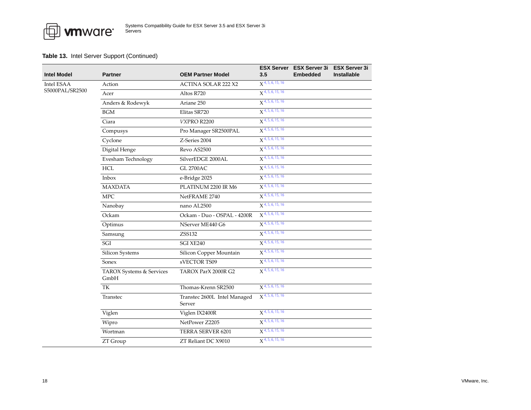

| Intel Model                   | <b>Partner</b>                   | <b>OEM Partner Model</b>               | 3.5                            | ESX Server ESX Server 3i ESX Server 3i<br><b>Embedded</b> | <b>Installable</b> |
|-------------------------------|----------------------------------|----------------------------------------|--------------------------------|-----------------------------------------------------------|--------------------|
| Intel ESAA<br>S5000PAL/SR2500 | Action                           | <b>ACTINA SOLAR 222 X2</b>             | $X^{4, 5, 6, 15, 16}$          |                                                           |                    |
|                               | Acer                             | Altos R720                             | $X$ <sup>4, 5, 6, 15, 16</sup> |                                                           |                    |
|                               | Anders & Rodewyk                 | Ariane 250                             | $\chi$ 4, 5, 6, 15, 16         |                                                           |                    |
|                               | <b>BGM</b>                       | Elitas SR720                           | $X^{4, 5, 6, 15, 16}$          |                                                           |                    |
|                               | Ciara                            | VXPRO R2200                            | $X^{4, 5, 6, 15, 16}$          |                                                           |                    |
|                               | Compusys                         | Pro Manager SR2500PAL                  | $X^{4,5,6,15,16}$              |                                                           |                    |
|                               | Cyclone                          | Z-Series 2004                          | $X^{4,5,6,15,16}$              |                                                           |                    |
|                               | Digital Henge                    | Revo AS2500                            | $X$ <sup>4, 5, 6, 15, 16</sup> |                                                           |                    |
|                               | Evesham Technology               | SilverEDGE 2000AL                      | $X^{4,5,6,15,16}$              |                                                           |                    |
|                               | <b>HCL</b>                       | <b>GL 2700AC</b>                       | $X^{4, 5, 6, 15, 16}$          |                                                           |                    |
|                               | Inbox                            | e-Bridge 2025                          | $X^{4, 5, 6, 15, 16}$          |                                                           |                    |
|                               | <b>MAXDATA</b>                   | PLATINUM 2200 IR M6                    | $X^{4,5,6,15,16}$              |                                                           |                    |
|                               | <b>MPC</b>                       | NetFRAME 2740                          | $\chi$ 4, 5, 6, 15, 16         |                                                           |                    |
|                               | Nanobay                          | nano AL2500                            | $X$ <sup>4, 5, 6, 15, 16</sup> |                                                           |                    |
|                               | Ockam                            | Ockam - Duo - OSPAL - 4200R            | $X^{4,5,6,15,16}$              |                                                           |                    |
|                               | Optimus                          | NServer ME440 G6                       | $X$ <sup>4, 5, 6, 15, 16</sup> |                                                           |                    |
|                               | Samsung                          | ZSS132                                 | $X^{4, 5, 6, 15, 16}$          |                                                           |                    |
|                               | SGI                              | SGI XE240                              | $X^{4,5,6,15,16}$              |                                                           |                    |
|                               | Silicon Systems                  | Silicon Copper Mountain                | $X^{4, 5, 6, 15, 16}$          |                                                           |                    |
|                               | Sonex                            | sVECTOR TS09                           | $X$ <sup>4, 5, 6, 15, 16</sup> |                                                           |                    |
|                               | TAROX Systems & Services<br>GmbH | TAROX ParX 2000R G2                    | $\chi$ 4, 5, 6, 15, 16         |                                                           |                    |
|                               | TK                               | Thomas-Krenn SR2500                    | $X^{4, 5, 6, 15, 16}$          |                                                           |                    |
|                               | Transtec                         | Transtec 2600L Intel Managed<br>Server | $X^{4, 5, 6, 15, 16}$          |                                                           |                    |
|                               | Viglen                           | Viglen IX2400R                         | $X^{4, 5, 6, 15, 16}$          |                                                           |                    |
|                               | Wipro                            | NetPower Z2205                         | $X$ <sup>4, 5, 6, 15, 16</sup> |                                                           |                    |
|                               | Wortman                          | TERRA SERVER 6201                      | $X^{4,5,6,15,16}$              |                                                           |                    |
|                               | ZT Group                         | ZT Reliant DC X9010                    | $\chi$ 4, 5, 6, 15, 16         |                                                           |                    |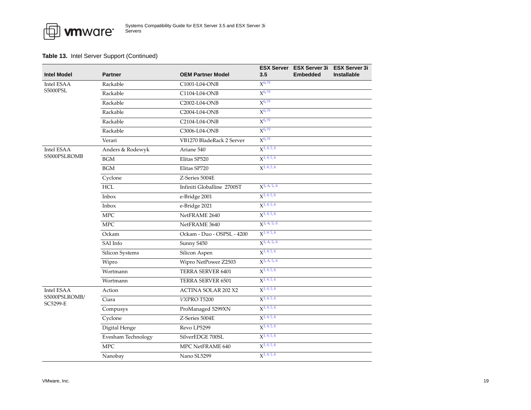| <b>Intel Model</b>            | <b>Partner</b>     | <b>OEM Partner Model</b>   | 3.5              | ESX Server ESX Server 3i ESX Server 3i<br><b>Embedded</b> | <b>Installable</b> |
|-------------------------------|--------------------|----------------------------|------------------|-----------------------------------------------------------|--------------------|
| Intel ESAA<br><b>S5000PSL</b> | Rackable           | C1001-L04-ONB              | $X^{6,19}$       |                                                           |                    |
|                               | Rackable           | C1104-L04-ONB              | $X^{6,19}$       |                                                           |                    |
|                               | Rackable           | C2002-L04-ONB              | $X^{6,19}$       |                                                           |                    |
|                               | Rackable           | C2004-L04-ONB              | $X^{6,19}$       |                                                           |                    |
|                               | Rackable           | C2104-L04-ONB              | $X^{6,19}$       |                                                           |                    |
|                               | Rackable           | C3006-L04-ONB              | $X^{6,19}$       |                                                           |                    |
|                               | Verari             | VB1270 BladeRack 2 Server  | $X^{6,19}$       |                                                           |                    |
| Intel ESAA                    | Anders & Rodewyk   | Ariane 540                 | $X^{3,4,5,6}$    |                                                           |                    |
| S5000PSLROMB                  | BGM                | Elitas SP520               | $X^{3,4,5,6}$    |                                                           |                    |
|                               | <b>BGM</b>         | Elitas SP720               | $X^{3,4,5,6}$    |                                                           |                    |
|                               | Cyclone            | Z-Series 5004E             |                  |                                                           |                    |
|                               | <b>HCL</b>         | Infiniti Globalline 2700ST | $X^{3, 4, 5, 6}$ |                                                           |                    |
|                               | Inbox              | e-Bridge 2001              | $X^{3, 4, 5, 6}$ |                                                           |                    |
|                               | Inbox              | e-Bridge 2021              | $X^{3,4,5,6}$    |                                                           |                    |
|                               | <b>MPC</b>         | NetFRAME 2640              | $X^{3,4,5,6}$    |                                                           |                    |
|                               | ${\rm MPC}$        | NetFRAME 3640              | $X^{3, 4, 5, 6}$ |                                                           |                    |
|                               | Ockam              | Ockam - Duo - OSPSL - 4200 | $X^{3,4,5,6}$    |                                                           |                    |
|                               | SAI Info           | Sunny S450                 | $X^{3, 4, 5, 6}$ |                                                           |                    |
|                               | Silicon Systems    | Silicon Aspen              | $X^{3,4,5,6}$    |                                                           |                    |
|                               | Wipro              | Wipro NetPower Z2503       | $X^{3, 4, 5, 6}$ |                                                           |                    |
|                               | Wortmann           | TERRA SERVER 6401          | $X^{3,4,5,6}$    |                                                           |                    |
|                               | Wortmann           | TERRA SERVER 6501          | $X^{3,4,5,6}$    |                                                           |                    |
| Intel ESAA                    | Action             | <b>ACTINA SOLAR 202 X2</b> | $X^{3,4,5,6}$    |                                                           |                    |
| S5000PSLROMB/<br>SC5299-E     | Ciara              | VXPRO T5200                | $X^{3, 4, 5, 6}$ |                                                           |                    |
|                               | Compusys           | ProManaged 5299XN          | $X^{3,4,5,6}$    |                                                           |                    |
|                               | Cyclone            | Z-Series 5004E             | $X^{3, 4, 5, 6}$ |                                                           |                    |
|                               | Digital Henge      | Revo LP5299                | $X^{3, 4, 5, 6}$ |                                                           |                    |
|                               | Evesham Technology | SilverEDGE 700SL           | $X^{3,4,5,6}$    |                                                           |                    |
|                               | <b>MPC</b>         | MPC NetFRAME 640           | $X^{3,4,5,6}$    |                                                           |                    |
|                               | Nanobay            | Nano SL5299                | $X^{3,4,5,6}$    |                                                           |                    |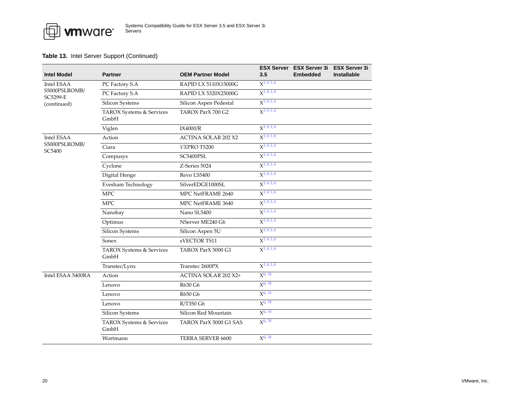| <b>Intel Model</b>               | <b>Partner</b>                   | <b>OEM Partner Model</b>   | 3.5              | ESX Server ESX Server 3i ESX Server 3i<br><b>Embedded</b> | <b>Installable</b> |
|----------------------------------|----------------------------------|----------------------------|------------------|-----------------------------------------------------------|--------------------|
| Intel ESAA                       | PC Factory S.A                   | RAPID LX 5110X15000G       | $X^{3,4,5,6}$    |                                                           |                    |
| S5000PSLROMB/<br><b>SC5299-E</b> | PC Factory S.A                   | RAPID LX 5320X25000G       | $X^{3,4,5,6}$    |                                                           |                    |
| (continued)                      | Silicon Systems                  | Silicon Aspen Pedestal     | $X^{3,4,5,6}$    |                                                           |                    |
|                                  | TAROX Systems & Services<br>GmbH | TAROX ParX 700 G2          | $X^{3,4,5,6}$    |                                                           |                    |
|                                  | Viglen                           | IX4000/R                   | $X^{3,4,5,6}$    |                                                           |                    |
| Intel ESAA                       | Action                           | <b>ACTINA SOLAR 202 X2</b> | $X^{3,4,5,6}$    |                                                           |                    |
| S5000PSLROMB/<br>SC5400          | Ciara                            | VXPRO T5200                | $X^{3,4,5,6}$    |                                                           |                    |
|                                  | Compusys                         | SC5400PSL                  | $X^{3,4,5,6}$    |                                                           |                    |
|                                  | Cyclone                          | Z-Series 5024              | $X^{3, 4, 5, 6}$ |                                                           |                    |
|                                  | Digital Henge                    | Revo LS5400                | $X^{3,4,5,6}$    |                                                           |                    |
|                                  | Evesham Technology               | SilverEDGE1000SL           | $X^{3,4,5,6}$    |                                                           |                    |
|                                  | <b>MPC</b>                       | MPC NetFRAME 2640          | $X^{3,4,5,6}$    |                                                           |                    |
|                                  | <b>MPC</b>                       | MPC NetFRAME 3640          | $X^{3,4,5,6}$    |                                                           |                    |
|                                  | Nanobay                          | Nano SL5400                | $X^{3,4,5,6}$    |                                                           |                    |
|                                  | Optimus                          | NServer ME240 G6           | $X^{3,4,5,6}$    |                                                           |                    |
|                                  | Silicon Systems                  | Silicon Aspen 5U           | $X^{3,4,5,6}$    |                                                           |                    |
|                                  | Sonex                            | sVECTOR TS11               | $X^{3,4,5,6}$    |                                                           |                    |
|                                  | TAROX Systems & Services<br>GmbH | TAROX ParX 5000 G1         | $X^{3,4,5,6}$    |                                                           |                    |
|                                  | Transtec/Lynx                    | Transtec 2600PX            | $X^{3,4,5,6}$    |                                                           |                    |
| Intel ESAA 5400RA                | Action                           | ACTINA SOLAR 202 X2+       | $X^{6, 18}$      |                                                           |                    |
|                                  | Lenovo                           | R630 G6                    | $X^{6, 18}$      |                                                           |                    |
|                                  | Lenovo                           | R650 G6                    | $X^{6, 18}$      |                                                           |                    |
|                                  | Lenovo                           | R/T350 G6                  | $X^{6, 18}$      |                                                           |                    |
|                                  | Silicon Systems                  | Silicon Red Mountain       | $X^{6, 18}$      |                                                           |                    |
|                                  | TAROX Systems & Services<br>GmbH | TAROX ParX 5000 G1 SAS     | $X^{6, 18}$      |                                                           |                    |
|                                  | Wortmann                         | TERRA SERVER 6600          | $X^{6, 18}$      |                                                           |                    |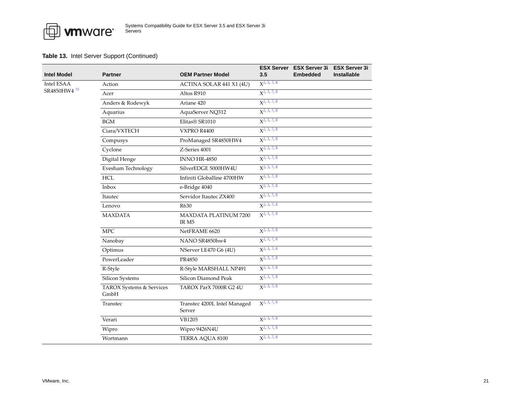

| <b>Intel Model</b>                    | <b>Partner</b>                   | <b>OEM Partner Model</b>               | 3.5                     | ESX Server ESX Server 3i ESX Server 3i<br><b>Embedded</b> | <b>Installable</b> |
|---------------------------------------|----------------------------------|----------------------------------------|-------------------------|-----------------------------------------------------------|--------------------|
| Intel ESAA<br>SR4850HW4 <sup>10</sup> | Action                           | ACTINA SOLAR 441 X1 (4U)               | $X^2$ , 3, 7, 8         |                                                           |                    |
|                                       | Acer                             | Altos R910                             | $X2$ , 3, 7, 8          |                                                           |                    |
|                                       | Anders & Rodewyk                 | Ariane 420                             | $X^2$ , 3, 7, 8         |                                                           |                    |
|                                       | Aquarius                         | AquaServer NQ312                       | $X^2$ , 3, 7, 8         |                                                           |                    |
|                                       | <b>BGM</b>                       | Elitas® SR1010                         | $X2$ , 3, 7, 8          |                                                           |                    |
|                                       | Ciara/VXTECH                     | VXPRO R4400                            | $X2$ , 3, 7, 8          |                                                           |                    |
|                                       | Compusys                         | ProManaged SR4850HW4                   | $X^2$ , 3, 7, 8         |                                                           |                    |
|                                       | Cyclone                          | Z-Series 4001                          | $X2$ , 3, 7, 8          |                                                           |                    |
|                                       | Digital Henge                    | <b>INNO HR-4850</b>                    | $X^2$ , 3, 7, 8         |                                                           |                    |
|                                       | Evesham Technology               | SilverEDGE 5000HW4U                    | $X^2$ , 3, 7, 8         |                                                           |                    |
|                                       | <b>HCL</b>                       | Infiniti Globalline 4700HW             | $X2$ , 3, 7, 8          |                                                           |                    |
|                                       | Inbox                            | e-Bridge 4040                          | $X2$ , 3, 7, 8          |                                                           |                    |
|                                       | Itautec                          | Servidor Itautec ZX400                 | X <sup>2, 3, 7, 8</sup> |                                                           |                    |
|                                       | Lenovo                           | R630                                   | $X2$ , 3, 7, 8          |                                                           |                    |
|                                       | <b>MAXDATA</b>                   | MAXDATA PLATINUM 7200<br>IR M5         | $X2$ , 3, 7, 8          |                                                           |                    |
|                                       | <b>MPC</b>                       | NetFRAME 6620                          | $X^{2, 3, 7, 8}$        |                                                           |                    |
|                                       | Nanobay                          | NANO SR4850hw4                         | $X^2$ , 3, 7, 8         |                                                           |                    |
|                                       | Optimus                          | NServer LE470 G6 (4U)                  | $X2$ , 3, 7, 8          |                                                           |                    |
|                                       | PowerLeader                      | PR4850                                 | $X^2$ , 3, 7, 8         |                                                           |                    |
|                                       | R-Style                          | R-Style MARSHALL NP491                 | $X^2$ , 3, 7, 8         |                                                           |                    |
|                                       | Silicon Systems                  | Silicon Diamond Peak                   | $X2$ , 3, 7, 8          |                                                           |                    |
|                                       | TAROX Systems & Services<br>GmbH | TAROX ParX 7000R G2 4U                 | $X^2$ , 3, 7, 8         |                                                           |                    |
|                                       | Transtec                         | Transtec 4200L Intel Managed<br>Server | $X^{2, 3, 7, 8}$        |                                                           |                    |
|                                       | Verari                           | VB1205                                 | X <sup>2, 3, 7, 8</sup> |                                                           |                    |
|                                       | Wipro                            | Wipro 9426N4U                          | $X^2$ , 3, 7, 8         |                                                           |                    |
|                                       | Wortmann                         | TERRA AQUA 8100                        | $X2$ , 3, 7, 8          |                                                           |                    |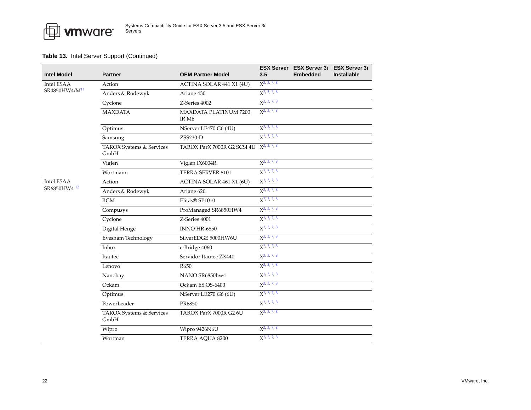| <b>Intel Model</b>        | <b>Partner</b>                   | <b>OEM Partner Model</b>              | 3.5                     | ESX Server ESX Server 3i ESX Server 3i<br><b>Embedded</b> | <b>Installable</b> |
|---------------------------|----------------------------------|---------------------------------------|-------------------------|-----------------------------------------------------------|--------------------|
| Intel ESAA                | Action                           | ACTINA SOLAR 441 X1 (4U)              | $X^2$ , 3, 7, 8         |                                                           |                    |
| SR4850HW4/M <sup>11</sup> | Anders & Rodewyk                 | Ariane 430                            | $X2$ , 3, 7, 8          |                                                           |                    |
|                           | Cyclone                          | Z-Series 4002                         | $X^2$ , 3, 7, 8         |                                                           |                    |
|                           | <b>MAXDATA</b>                   | <b>MAXDATA PLATINUM 7200</b><br>IR M6 | $X^2$ , 3, 7, 8         |                                                           |                    |
|                           | Optimus                          | NServer LE470 G6 (4U)                 | $X^2$ , 3, 7, 8         |                                                           |                    |
|                           | Samsung                          | ZSS230-D                              | $X2$ , 3, 7, 8          |                                                           |                    |
|                           | TAROX Systems & Services<br>GmbH | TAROX ParX 7000R G2 SCSI 4U           | $X^{2, 3, 7, 8}$        |                                                           |                    |
|                           | Viglen                           | Viglen IX6004R                        | $X2$ , 3, 7, 8          |                                                           |                    |
|                           | Wortmann                         | TERRA SERVER 8101                     | X <sup>2, 3, 7, 8</sup> |                                                           |                    |
| Intel ESAA                | Action                           | ACTINA SOLAR 461 X1 (6U)              | X <sup>2, 3, 7, 8</sup> |                                                           |                    |
| SR6850HW4 <sup>12</sup>   | Anders & Rodewyk                 | Ariane 620                            | $X^2$ , 3, 7, 8         |                                                           |                    |
|                           | $\operatorname{BGM}$             | Elitas® SP1010                        | $X^2$ , 3, 7, 8         |                                                           |                    |
|                           | Compusys                         | ProManaged SR6850HW4                  | X <sup>2, 3, 7, 8</sup> |                                                           |                    |
|                           | Cyclone                          | Z-Series 4001                         | $X^2$ , 3, 7, 8         |                                                           |                    |
|                           | Digital Henge                    | INNO HR-6850                          | $X^2$ , 3, 7, 8         |                                                           |                    |
|                           | Evesham Technology               | SilverEDGE 5000HW6U                   | $X2$ , 3, 7, 8          |                                                           |                    |
|                           | Inbox                            | e-Bridge 4060                         | X <sup>2, 3, 7, 8</sup> |                                                           |                    |
|                           | Itautec                          | Servidor Itautec ZX440                | X <sup>2, 3, 7, 8</sup> |                                                           |                    |
|                           | Lenovo                           | R650                                  | $X2$ , 3, 7, 8          |                                                           |                    |
|                           | Nanobay                          | NANO SR6850hw4                        | $X^2$ , 3, 7, 8         |                                                           |                    |
|                           | Ockam                            | Ockam ES OS-6400                      | $X^2$ , 3, 7, 8         |                                                           |                    |
|                           | Optimus                          | NServer LE270 G6 (6U)                 | X <sup>2, 3, 7, 8</sup> |                                                           |                    |
|                           | PowerLeader                      | PR6850                                | $X^2$ , 3, 7, 8         |                                                           |                    |
|                           | TAROX Systems & Services<br>GmbH | TAROX ParX 7000R G2 6U                | $X^2$ , 3, 7, 8         |                                                           |                    |
|                           | Wipro                            | Wipro 9426N6U                         | $X^2$ , 3, 7, 8         |                                                           |                    |
|                           | Wortman                          | TERRA AQUA 8200                       | X <sup>2, 3, 7, 8</sup> |                                                           |                    |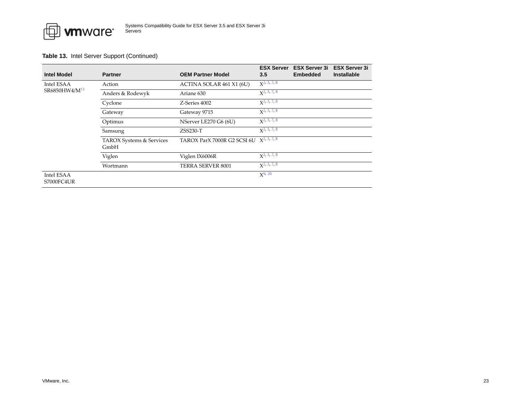

| <b>Intel Model</b>        | <b>Partner</b>                   | <b>OEM Partner Model</b>                     | <b>ESX Server</b><br>3.5 | <b>ESX Server 3i</b><br><b>Embedded</b> | <b>ESX Server 3i</b><br><b>Installable</b> |
|---------------------------|----------------------------------|----------------------------------------------|--------------------------|-----------------------------------------|--------------------------------------------|
| Intel ESAA                | Action                           | ACTINA SOLAR 461 X1 (6U)                     | $\chi^2$ , 3, 7, 8       |                                         |                                            |
| SR6850HW4/M <sup>13</sup> | Anders & Rodewyk                 | Ariane 630                                   | $x^2$ , 3, 7, 8          |                                         |                                            |
|                           | Cyclone                          | Z-Series 4002                                | $\chi^2$ , 3, 7, 8       |                                         |                                            |
|                           | Gateway                          | Gateway 9715                                 | $\chi^2$ , 3, 7, 8       |                                         |                                            |
|                           | Optimus                          | NServer LE270 G6 (6U)                        | $x^2$ , 3, 7, 8          |                                         |                                            |
|                           | Samsung                          | $ZSS230-T$                                   | $\chi^2$ , 3, 7, 8       |                                         |                                            |
|                           | TAROX Systems & Services<br>GmbH | TAROX ParX 7000R G2 SCSI 6U $X^{2, 3, 7, 8}$ |                          |                                         |                                            |
|                           | Viglen                           | Viglen IX6006R                               | $\chi^2$ , 3, 7, 8       |                                         |                                            |
|                           | Wortmann                         | TERRA SERVER 8001                            | $X^2$ , 3, 7, 8          |                                         |                                            |
| Intel ESAA<br>S7000FC4UR  |                                  |                                              | $X^{9, 20}$              |                                         |                                            |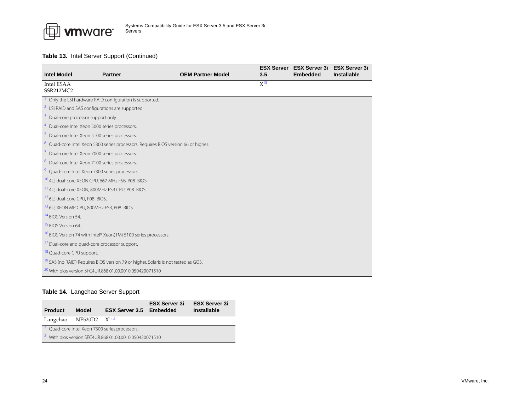

<span id="page-23-17"></span><span id="page-23-13"></span><span id="page-23-12"></span><span id="page-23-11"></span><span id="page-23-5"></span><span id="page-23-4"></span><span id="page-23-2"></span><span id="page-23-1"></span>

| <b>Intel Model</b>                                       | <b>Partner</b>                                                                                | <b>OEM Partner Model</b> | 3.5      | <b>ESX Server</b> ESX Server 3i<br><b>Embedded</b> | <b>ESX Server 3i</b><br><b>Installable</b> |  |  |  |
|----------------------------------------------------------|-----------------------------------------------------------------------------------------------|--------------------------|----------|----------------------------------------------------|--------------------------------------------|--|--|--|
| Intel ESAA                                               |                                                                                               |                          | $X^{18}$ |                                                    |                                            |  |  |  |
| SSR212MC2                                                |                                                                                               |                          |          |                                                    |                                            |  |  |  |
|                                                          | <sup>1</sup> Only the LSI hardware RAID configuration is supported.                           |                          |          |                                                    |                                            |  |  |  |
|                                                          | <sup>2</sup> LSI RAID and SAS configurations are supported                                    |                          |          |                                                    |                                            |  |  |  |
| <sup>3</sup> Dual-core processor support only.           |                                                                                               |                          |          |                                                    |                                            |  |  |  |
|                                                          | <sup>4</sup> Dual-core Intel Xeon 5000 series processors.                                     |                          |          |                                                    |                                            |  |  |  |
|                                                          | <sup>5</sup> Dual-core Intel Xeon 5100 series processors.                                     |                          |          |                                                    |                                            |  |  |  |
|                                                          | <sup>6</sup> Quad-core Intel Xeon 5300 series processors. Requires BIOS version 66 or higher. |                          |          |                                                    |                                            |  |  |  |
|                                                          | <sup>7</sup> Dual-core Intel Xeon 7000 series processors.                                     |                          |          |                                                    |                                            |  |  |  |
|                                                          | <sup>8</sup> Dual-core Intel Xeon 7100 series processors.                                     |                          |          |                                                    |                                            |  |  |  |
|                                                          | <sup>9</sup> Quad-core Intel Xeon 7300 series processors.                                     |                          |          |                                                    |                                            |  |  |  |
|                                                          | 10 4U, dual-core XEON CPU, 667 MHz FSB, P08 BIOS.                                             |                          |          |                                                    |                                            |  |  |  |
|                                                          | <sup>11</sup> 4U, dual-core XEON, 800MHz FSB CPU, P08 BIOS.                                   |                          |          |                                                    |                                            |  |  |  |
| <sup>12</sup> 6U, dual-core CPU, P08 BIOS.               |                                                                                               |                          |          |                                                    |                                            |  |  |  |
|                                                          | 13 6U, XEON MP CPU, 800MHz FSB, P08 BIOS.                                                     |                          |          |                                                    |                                            |  |  |  |
| <sup>14</sup> BIOS Version 54.                           |                                                                                               |                          |          |                                                    |                                            |  |  |  |
| <sup>15</sup> BIOS Version 64.                           |                                                                                               |                          |          |                                                    |                                            |  |  |  |
|                                                          | <sup>16</sup> BIOS Version 74 with Intel® Xeon(TM) 5100 series processors.                    |                          |          |                                                    |                                            |  |  |  |
| <sup>17</sup> Dual-core and quad-core processor support. |                                                                                               |                          |          |                                                    |                                            |  |  |  |
| <sup>18</sup> Quad-core CPU support.                     |                                                                                               |                          |          |                                                    |                                            |  |  |  |
|                                                          | <sup>19</sup> SAS (no RAID) Requires BIOS version 79 or higher. Solaris is not tested as GOS. |                          |          |                                                    |                                            |  |  |  |
|                                                          | <sup>20</sup> With bios version SFC4UR.868.01.00.0010.050420071510                            |                          |          |                                                    |                                            |  |  |  |

# <span id="page-23-18"></span><span id="page-23-16"></span><span id="page-23-15"></span><span id="page-23-14"></span><span id="page-23-10"></span><span id="page-23-9"></span><span id="page-23-8"></span><span id="page-23-7"></span><span id="page-23-6"></span><span id="page-23-3"></span><span id="page-23-0"></span>**Table 14.** Langchao Server Support

<span id="page-23-20"></span><span id="page-23-19"></span>

| <b>Product</b>   | <b>Model</b>                                                      | <b>ESX Server 3.5 Embedded</b> | <b>ESX Server 3i</b> | <b>ESX Server 3i</b><br>Installable |  |  |
|------------------|-------------------------------------------------------------------|--------------------------------|----------------------|-------------------------------------|--|--|
| Langchao NF520D2 |                                                                   | $\chi^{1,2}$                   |                      |                                     |  |  |
|                  | Quad-core Intel Xeon 7300 series processors.                      |                                |                      |                                     |  |  |
|                  | <sup>2</sup> With bios version SFC4UR.868.01.00.0010.050420071510 |                                |                      |                                     |  |  |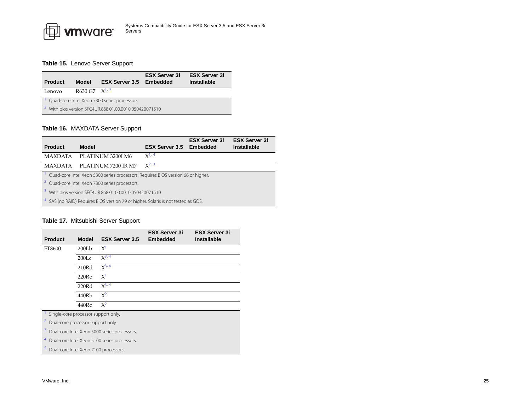# <span id="page-24-1"></span>**Table 15.** Lenovo Server Support

<span id="page-24-12"></span>

| <b>Product</b> | Model                                                             | <b>ESX Server 3.5 Embedded</b> | <b>ESX Server 3i</b> | <b>ESX Server 3i</b><br><b>Installable</b> |  |  |
|----------------|-------------------------------------------------------------------|--------------------------------|----------------------|--------------------------------------------|--|--|
| Lenovo         | R630 G7 $X^{1/2}$                                                 |                                |                      |                                            |  |  |
|                | Quad-core Intel Xeon 7300 series processors.                      |                                |                      |                                            |  |  |
|                | <sup>2</sup> With bios version SFC4UR.868.01.00.0010.050420071510 |                                |                      |                                            |  |  |

# <span id="page-24-13"></span><span id="page-24-2"></span>**Table 16.** MAXDATA Server Support

<span id="page-24-5"></span>

| <b>Product</b>                                             | Model                                                                                        | <b>ESX Server 3.5 Embedded</b> | <b>ESX Server 3i</b> | <b>ESX Server 3i</b><br><b>Installable</b> |  |  |
|------------------------------------------------------------|----------------------------------------------------------------------------------------------|--------------------------------|----------------------|--------------------------------------------|--|--|
|                                                            | MAXDATA PLATINUM 3200I M6                                                                    | $X^{1, 4}$                     |                      |                                            |  |  |
| MAXDATA                                                    | PLATINUM 7200 IR M7                                                                          | $x^{2,3}$                      |                      |                                            |  |  |
|                                                            | Quad-core Intel Xeon 5300 series processors. Requires BIOS version 66 or higher.             |                                |                      |                                            |  |  |
|                                                            | <sup>2</sup> Quad-core Intel Xeon 7300 series processors.                                    |                                |                      |                                            |  |  |
| 3.<br>With bios version SEC4UR.868.01.00.0010.050420071510 |                                                                                              |                                |                      |                                            |  |  |
|                                                            | <sup>4</sup> SAS (no RAID) Requires BIOS version 79 or higher. Solaris is not tested as GOS. |                                |                      |                                            |  |  |

# <span id="page-24-6"></span><span id="page-24-4"></span><span id="page-24-3"></span><span id="page-24-0"></span>**Table 17.** Mitsubishi Server Support

|                                                                                                                                                                                                                                |                   |                       | <b>ESX Server 3i</b> | <b>ESX Server 3i</b> |  |  |
|--------------------------------------------------------------------------------------------------------------------------------------------------------------------------------------------------------------------------------|-------------------|-----------------------|----------------------|----------------------|--|--|
| <b>Product</b>                                                                                                                                                                                                                 | <b>Model</b>      | <b>ESX Server 3.5</b> | <b>Embedded</b>      | <b>Installable</b>   |  |  |
| FT8600                                                                                                                                                                                                                         | 200Lb             | $X^1$                 |                      |                      |  |  |
|                                                                                                                                                                                                                                | 200 <sub>LC</sub> | $X^{3, 4}$            |                      |                      |  |  |
|                                                                                                                                                                                                                                | 210Rd             | $X^{3, 4}$            |                      |                      |  |  |
|                                                                                                                                                                                                                                | 220Rc             | $X^1$                 |                      |                      |  |  |
|                                                                                                                                                                                                                                | 220Rd             | $X^{3, 4}$            |                      |                      |  |  |
|                                                                                                                                                                                                                                | 440Rb             | $X^2$                 |                      |                      |  |  |
|                                                                                                                                                                                                                                | 440Rc             | $X^5$                 |                      |                      |  |  |
| Single-core processor support only.                                                                                                                                                                                            |                   |                       |                      |                      |  |  |
| 2<br>Dual-core processor support only.                                                                                                                                                                                         |                   |                       |                      |                      |  |  |
| $2 - 1$ . The set of the set of the set of the set of the set of the set of the set of the set of the set of the set of the set of the set of the set of the set of the set of the set of the set of the set of the set of the |                   |                       |                      |                      |  |  |

<span id="page-24-10"></span><span id="page-24-8"></span><span id="page-24-7"></span>3Dual-core Intel Xeon 5000 series processors.

<span id="page-24-9"></span>4Dual-core Intel Xeon 5100 series processors.

<span id="page-24-11"></span>Dual-core Intel Xeon 7100 processors.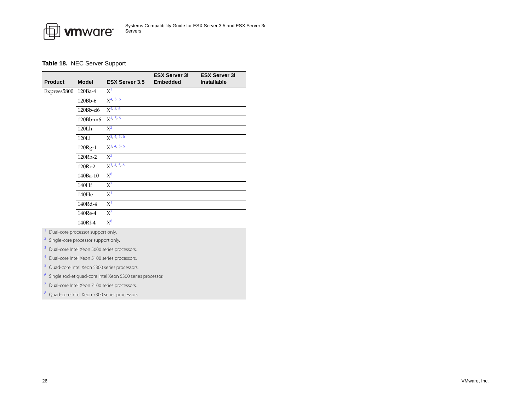

# <span id="page-25-0"></span>**Table 18.** NEC Server Support

| <b>Product</b> | <b>Model</b>                      | <b>ESX Server 3.5</b> | <b>ESX Server 3i</b><br><b>Embedded</b> | <b>ESX Server 3i</b><br><b>Installable</b> |
|----------------|-----------------------------------|-----------------------|-----------------------------------------|--------------------------------------------|
| Express5800    | $120Ba-4$                         | $X^2$                 |                                         |                                            |
|                | 120Bb-6                           | $X^{4, 5, 6}$         |                                         |                                            |
|                | 120Bb-d6                          | $X^{4, 5, 6}$         |                                         |                                            |
|                | 120Bb-m6                          | $X^{4, 5, 6}$         |                                         |                                            |
|                | 120Lh                             | $X^2$                 |                                         |                                            |
|                | 120Li                             | $X^{3, 4, 5, 6}$      |                                         |                                            |
|                | 120Rg-1                           | $X^{3, 4, 5, 6}$      |                                         |                                            |
|                | 120Rh-2                           | $X^2$                 |                                         |                                            |
|                | 120Ri-2                           | $X^{3, 4, 5, 6}$      |                                         |                                            |
|                | 140Ba-10                          | $X^8$                 |                                         |                                            |
|                | 140Hf                             | $X^7$                 |                                         |                                            |
|                | 140He                             | X <sup>1</sup>        |                                         |                                            |
|                | 140Rd-4                           | X <sup>1</sup>        |                                         |                                            |
|                | 140Re-4                           | $X^7$                 |                                         |                                            |
|                | 140Rf-4                           | $X^8$                 |                                         |                                            |
|                | Dual-core processor support only. |                       |                                         |                                            |

<span id="page-25-6"></span>

<span id="page-25-4"></span>2Single-core processor support only.

<span id="page-25-1"></span>3Dual-core Intel Xeon 5000 series processors.

<span id="page-25-2"></span>4Dual-core Intel Xeon 5100 series processors.

<span id="page-25-7"></span>Quad-core Intel Xeon 5300 series processors.

<span id="page-25-8"></span>6Single socket quad-core Intel Xeon 5300 series processor.

<span id="page-25-5"></span>7Dual-core Intel Xeon 7100 series processors.

<span id="page-25-3"></span>Quad-core Intel Xeon 7300 series processors.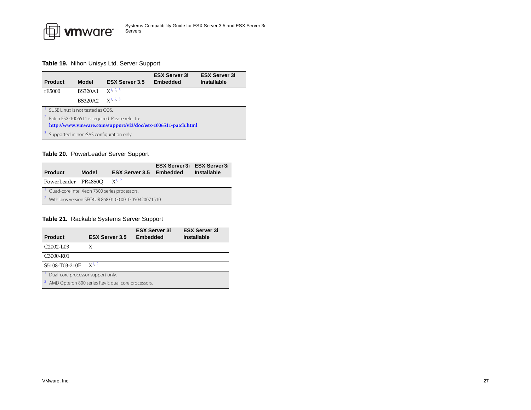

# <span id="page-26-0"></span>**Table 19.** Nihon Unisys Ltd. Server Support

<span id="page-26-3"></span>

| <b>Product</b>                                               | Model                            | <b>ESX Server 3.5</b>                                        | <b>ESX Server 3i</b><br><b>Embedded</b> | <b>ESX Server 3i</b><br><b>Installable</b> |  |
|--------------------------------------------------------------|----------------------------------|--------------------------------------------------------------|-----------------------------------------|--------------------------------------------|--|
| rE5000                                                       | <b>BS320A1</b>                   | $x^{1,2,3}$                                                  |                                         |                                            |  |
|                                                              | <b>BS320A2</b>                   | $x^1$ , 2, 3                                                 |                                         |                                            |  |
|                                                              | SUSE Linux is not tested as GOS. |                                                              |                                         |                                            |  |
|                                                              |                                  | <sup>2</sup> Patch ESX-1006511 is required. Please refer to: |                                         |                                            |  |
| http://www.vmware.com/support/vi3/doc/esx-1006511-patch.html |                                  |                                                              |                                         |                                            |  |
| Supported in non-SAS configuration only.                     |                                  |                                                              |                                         |                                            |  |

# <span id="page-26-5"></span><span id="page-26-4"></span><span id="page-26-1"></span>**Table 20.** PowerLeader Server Support

<span id="page-26-6"></span>

| <b>Product</b>      | Model                                                | <b>ESX Server 3.5 Embedded</b> | <b>ESX Server 3i ESX Server 3i</b> | <b>Installable</b> |  |  |
|---------------------|------------------------------------------------------|--------------------------------|------------------------------------|--------------------|--|--|
| PowerLeader PR4850O |                                                      | $x^{1,2}$                      |                                    |                    |  |  |
|                     | Quad-core Intel Xeon 7300 series processors.         |                                |                                    |                    |  |  |
| 2                   | With bios version SFC4UR.868.01.00.0010.050420071510 |                                |                                    |                    |  |  |

# <span id="page-26-7"></span><span id="page-26-2"></span>**Table 21.** Rackable Systems Server Support

<span id="page-26-9"></span><span id="page-26-8"></span>

| <b>Product</b>                                     | <b>ESX Server 3.5</b> | <b>ESX Server 3i</b><br><b>Embedded</b> | <b>ESX Server 3i</b><br><b>Installable</b> |  |  |
|----------------------------------------------------|-----------------------|-----------------------------------------|--------------------------------------------|--|--|
| C <sub>2002</sub> -L <sub>03</sub>                 | X                     |                                         |                                            |  |  |
| C3000-R01                                          |                       |                                         |                                            |  |  |
| S5108-T03-210E                                     | $x^{1,2}$             |                                         |                                            |  |  |
| Dual-core processor support only.                  |                       |                                         |                                            |  |  |
| AMD Opteron 800 series Rev E dual core processors. |                       |                                         |                                            |  |  |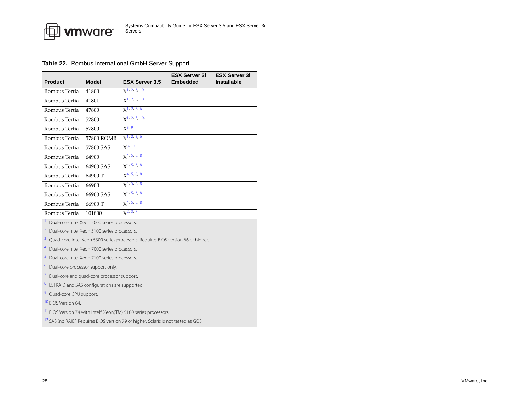

#### <span id="page-27-0"></span>**Table 22.** Rombus International GmbH Server Support

| <b>Product</b> | <b>Model</b> | <b>ESX Server 3.5</b>              | <b>ESX Server 3i</b><br><b>Embedded</b> | <b>ESX Server 3i</b><br><b>Installable</b> |
|----------------|--------------|------------------------------------|-----------------------------------------|--------------------------------------------|
| Rombus Tertia  | 41800        | $x$ <sup>1</sup> , 2, 6, 10        |                                         |                                            |
| Rombus Tertia  | 41801        | $\chi$ <sup>1</sup> , 2, 3, 10, 11 |                                         |                                            |
| Rombus Tertia  | 47800        | $x1$ , 2, 3, 6                     |                                         |                                            |
| Rombus Tertia  | 52800        | $X^{1, 2, 3, 10, 11}$              |                                         |                                            |
| Rombus Tertia  | 57800        | $X^{3, 9}$                         |                                         |                                            |
| Rombus Tertia  | 57800 ROMB   | X <sup>1</sup> , 2, 3, 6           |                                         |                                            |
| Rombus Tertia  | 57800 SAS    | $X^{3, 12}$                        |                                         |                                            |
| Rombus Tertia  | 64900        | $x^{4, 5, 6, 8}$                   |                                         |                                            |
| Rombus Tertia  | 64900 SAS    | X <sup>4, 5, 6, 8</sup>            |                                         |                                            |
| Rombus Tertia  | 64900 T      | $X^{4, 5, 6, 8}$                   |                                         |                                            |
| Rombus Tertia  | 66900        | $x^{4, 5, 6, 8}$                   |                                         |                                            |
| Rombus Tertia  | 66900 SAS    | X <sup>4, 5, 6, 8</sup>            |                                         |                                            |
| Rombus Tertia  | 66900 T      | $x^{4, 5, 6, 8}$                   |                                         |                                            |
| Rombus Tertia  | 101800       | $X^{2, 3, 7}$                      |                                         |                                            |

<span id="page-27-1"></span>Dual-core Intel Xeon 5000 series processors.

<span id="page-27-2"></span>2Dual-core Intel Xeon 5100 series processors.

<span id="page-27-6"></span>3Quad-core Intel Xeon 5300 series processors. Requires BIOS version 66 or higher.

<span id="page-27-3"></span>4Dual-core Intel Xeon 7000 series processors.

<span id="page-27-4"></span>Dual-core Intel Xeon 7100 series processors.

<span id="page-27-5"></span>6Dual-core processor support only.

<span id="page-27-7"></span>7Dual-core and quad-core processor support.

<span id="page-27-8"></span>LSI RAID and SAS configurations are supported

<span id="page-27-9"></span>9Quad-core CPU support.

<span id="page-27-10"></span>10 BIOS Version 64.

<span id="page-27-11"></span><sup>11</sup> BIOS Version 74 with Intel® Xeon(TM) 5100 series processors.

<span id="page-27-12"></span><sup>12</sup> SAS (no RAID) Requires BIOS version 79 or higher. Solaris is not tested as GOS.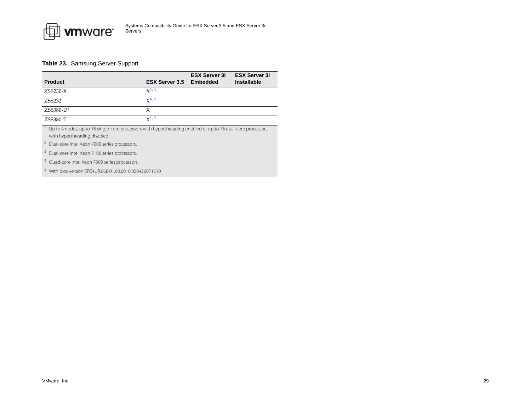

# <span id="page-28-0"></span>**Table 23.** Samsung Server Support

| <b>Product</b>                                                                                                                               | <b>ESX Server 3.5</b> | <b>ESX Server 3i</b><br>Embedded | <b>ESX Server 3i</b><br><b>Installable</b> |
|----------------------------------------------------------------------------------------------------------------------------------------------|-----------------------|----------------------------------|--------------------------------------------|
| $ZSS230-X$                                                                                                                                   | $X^{2, 3}$            |                                  |                                            |
| ZSS232                                                                                                                                       | $X^{4, 5}$            |                                  |                                            |
| $ZSS380-D$ <sup>1</sup>                                                                                                                      | X                     |                                  |                                            |
| ZSS380-T                                                                                                                                     | $X^{1,3}$             |                                  |                                            |
| Up to 4 nodes, up to 16 single-core processors with hyperthreading enabled or up to 16 dual-core processors<br>with hyperthreading disabled. |                       |                                  |                                            |
| <sup>2</sup> Dual-core Intel Xeon 7000 series processors.                                                                                    |                       |                                  |                                            |
| <sup>3</sup> Dual-core Intel Xeon 7100 series processors.                                                                                    |                       |                                  |                                            |
| Quad-core Intel Xeon 7300 series processors.                                                                                                 |                       |                                  |                                            |

With bios version SFC4UR.868.01.00.0010.050420071510

<span id="page-28-5"></span><span id="page-28-4"></span><span id="page-28-3"></span><span id="page-28-2"></span><span id="page-28-1"></span>5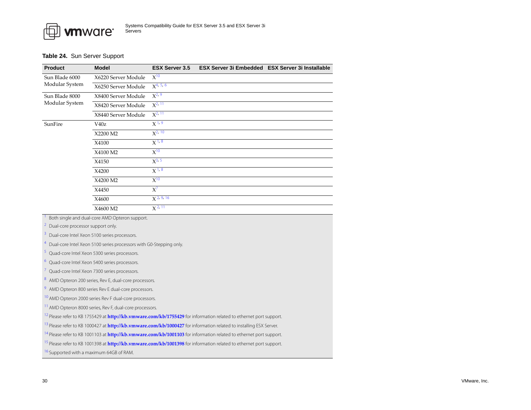

#### <span id="page-29-0"></span>**Table 24.** Sun Server Support

<span id="page-29-12"></span><span id="page-29-11"></span><span id="page-29-10"></span><span id="page-29-9"></span><span id="page-29-8"></span><span id="page-29-7"></span><span id="page-29-6"></span><span id="page-29-5"></span><span id="page-29-4"></span><span id="page-29-3"></span><span id="page-29-2"></span><span id="page-29-1"></span>

| <b>Product</b>                                                                                                                | <b>Model</b>                                                                    | <b>ESX Server 3.5</b> | ESX Server 3i Embedded ESX Server 3i Installable                                                                                     |  |  |
|-------------------------------------------------------------------------------------------------------------------------------|---------------------------------------------------------------------------------|-----------------------|--------------------------------------------------------------------------------------------------------------------------------------|--|--|
| Sun Blade 6000                                                                                                                | X6220 Server Module                                                             | $\overline{X^{10}}$   |                                                                                                                                      |  |  |
| Modular System                                                                                                                | X6250 Server Module                                                             | $X^{4, 5, 6}$         |                                                                                                                                      |  |  |
| Sun Blade 8000                                                                                                                | X8400 Server Module                                                             | $X^{2,9}$             |                                                                                                                                      |  |  |
| Modular System                                                                                                                | X8420 Server Module                                                             | $X^{2, 11}$           |                                                                                                                                      |  |  |
|                                                                                                                               | X8440 Server Module                                                             | $X^{2, 11}$           |                                                                                                                                      |  |  |
| SunFire                                                                                                                       | V40z                                                                            | X <sup>1, 9</sup>     |                                                                                                                                      |  |  |
|                                                                                                                               | X2200 M2                                                                        | $X^{2, 10}$           |                                                                                                                                      |  |  |
|                                                                                                                               | X4100                                                                           | $\overline{X}^{1,8}$  |                                                                                                                                      |  |  |
|                                                                                                                               | X4100 M2                                                                        | $X^{10}$              |                                                                                                                                      |  |  |
|                                                                                                                               | X4150                                                                           | $X^{3, 5}$            |                                                                                                                                      |  |  |
|                                                                                                                               | X4200                                                                           | $X^{1,8}$             |                                                                                                                                      |  |  |
|                                                                                                                               | X4200 M2                                                                        | $X^{10}$              |                                                                                                                                      |  |  |
|                                                                                                                               | X4450                                                                           | $X^7$                 |                                                                                                                                      |  |  |
|                                                                                                                               | X4600                                                                           | $X^{2, 9, 16}$        |                                                                                                                                      |  |  |
|                                                                                                                               | X4600 M2                                                                        | $X^{2, 11}$           |                                                                                                                                      |  |  |
|                                                                                                                               | Both single and dual-core AMD Opteron support.                                  |                       |                                                                                                                                      |  |  |
| Dual-core processor support only.                                                                                             |                                                                                 |                       |                                                                                                                                      |  |  |
|                                                                                                                               | Dual-core Intel Xeon 5100 series processors.                                    |                       |                                                                                                                                      |  |  |
|                                                                                                                               | <sup>4</sup> Dual-core Intel Xeon 5100 series processors with G0-Stepping only. |                       |                                                                                                                                      |  |  |
| <sup>5</sup> Quad-core Intel Xeon 5300 series processors.                                                                     |                                                                                 |                       |                                                                                                                                      |  |  |
|                                                                                                                               | <sup>6</sup> Quad-core Intel Xeon 5400 series processors.                       |                       |                                                                                                                                      |  |  |
|                                                                                                                               | Quad-core Intel Xeon 7300 series processors.                                    |                       |                                                                                                                                      |  |  |
| 8 AMD Opteron 200 series, Rev E, dual-core processors.                                                                        |                                                                                 |                       |                                                                                                                                      |  |  |
| <sup>9</sup> AMD Opteron 800 series Rev E dual-core processors.                                                               |                                                                                 |                       |                                                                                                                                      |  |  |
|                                                                                                                               | <sup>10</sup> AMD Opteron 2000 series Rev F dual-core processors.               |                       |                                                                                                                                      |  |  |
|                                                                                                                               | <sup>11</sup> AMD Opteron 8000 series, Rev F, dual-core processors.             |                       |                                                                                                                                      |  |  |
|                                                                                                                               |                                                                                 |                       | <sup>12</sup> Please refer to KB 1755429 at http://kb.vmware.com/kb/1755429 for information related to ethernet port support.        |  |  |
|                                                                                                                               |                                                                                 |                       | <sup>13</sup> Please refer to KB 1000427 at <b>http://kb.vmware.com/kb/1000427</b> for information related to installing ESX Server. |  |  |
| <sup>14</sup> Please refer to KB 1001103 at http://kb.vmware.com/kb/1001103 for information related to ethernet port support. |                                                                                 |                       |                                                                                                                                      |  |  |
|                                                                                                                               |                                                                                 |                       | <sup>15</sup> Please refer to KB 1001398 at <b>http://kb.vmware.com/kb/1001398</b> for information related to ethernet port support. |  |  |
|                                                                                                                               | <sup>16</sup> Supported with a maximum 64GB of RAM.                             |                       |                                                                                                                                      |  |  |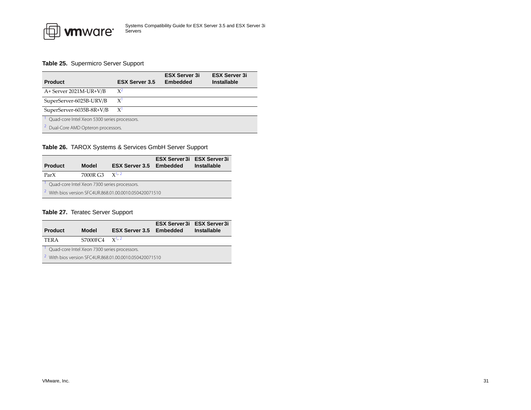

# <span id="page-30-1"></span>**Table 25.** Supermicro Server Support

| <b>Product</b>                               | <b>ESX Server 3.5</b> | <b>ESX Server 3i</b><br>Embedded | <b>ESX Server 3i</b><br>Installable |  |
|----------------------------------------------|-----------------------|----------------------------------|-------------------------------------|--|
| A+ Server 2021M-UR+V/B                       | $X^2$                 |                                  |                                     |  |
| SuperServer-6025B-URV/B                      | $\chi$                |                                  |                                     |  |
| SuperServer-6035B-8R+V/B                     | $X^{\prime}$          |                                  |                                     |  |
| Quad-core Intel Xeon 5300 series processors. |                       |                                  |                                     |  |
| Dual-Core AMD Opteron processors.            |                       |                                  |                                     |  |

# <span id="page-30-4"></span><span id="page-30-3"></span><span id="page-30-0"></span>**Table 26.** TAROX Systems & Services GmbH Server Support

<span id="page-30-7"></span>

| <b>Product</b>                                                    | <b>Model</b> | <b>ESX Server 3.5 Embedded</b> |  | <b>ESX Server 3i ESX Server 3i</b><br><b>Installable</b> |
|-------------------------------------------------------------------|--------------|--------------------------------|--|----------------------------------------------------------|
| ParX                                                              | 7000R G3     | $\chi$ <sup>1</sup> , 2        |  |                                                          |
| Quad-core Intel Xeon 7300 series processors.                      |              |                                |  |                                                          |
| <sup>2</sup> With bios version SFC4UR.868.01.00.0010.050420071510 |              |                                |  |                                                          |

# <span id="page-30-8"></span><span id="page-30-2"></span>**Table 27.** Teratec Server Support

<span id="page-30-6"></span><span id="page-30-5"></span>

| <b>Product</b>                                                    | Model              | <b>ESX Server 3.5 Embedded</b> |  | <b>ESX Server 3i ESX Server 3i</b><br><b>Installable</b> |
|-------------------------------------------------------------------|--------------------|--------------------------------|--|----------------------------------------------------------|
| <b>TERA</b>                                                       | S7000FC4 $X^{1,2}$ |                                |  |                                                          |
| Quad-core Intel Xeon 7300 series processors.                      |                    |                                |  |                                                          |
| <sup>2</sup> With bios version SFC4UR.868.01.00.0010.050420071510 |                    |                                |  |                                                          |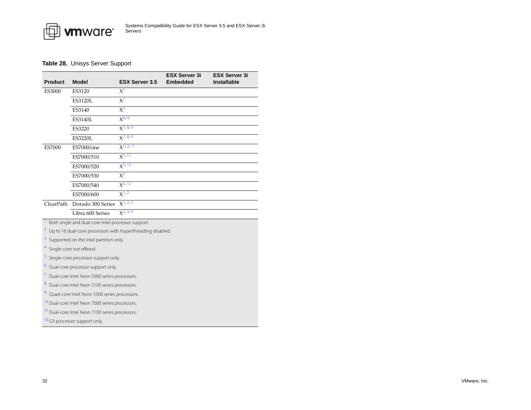

# <span id="page-31-0"></span>**Table 28.** Unisys Server Support

| <b>Product</b>                                             | <b>Model</b>                                                | <b>ESX Server 3.5</b> | <b>ESX Server 3i</b><br><b>Embedded</b> | <b>ESX Server 3i</b><br><b>Installable</b> |  |
|------------------------------------------------------------|-------------------------------------------------------------|-----------------------|-----------------------------------------|--------------------------------------------|--|
| <b>ES3000</b>                                              | ES3120                                                      | $X^5$                 |                                         |                                            |  |
|                                                            | <b>ES3120L</b>                                              | $X^1$                 |                                         |                                            |  |
|                                                            | ES3140                                                      | $X^5$                 |                                         |                                            |  |
|                                                            | ES3140L                                                     | $X^{6,10}$            |                                         |                                            |  |
|                                                            | ES3220                                                      | $X^{7, 8, 9}$         |                                         |                                            |  |
|                                                            | <b>ES3220L</b>                                              | $X^{7, 8, 9}$         |                                         |                                            |  |
| <b>ES7000</b>                                              | ES7000/one                                                  | $X^{1, 2, 11}$        |                                         |                                            |  |
|                                                            | ES7000/510                                                  | $X^{5, 12}$           |                                         |                                            |  |
|                                                            | ES7000/520                                                  | $X^{5, 12}$           |                                         |                                            |  |
|                                                            | ES7000/530                                                  | $X^5$                 |                                         |                                            |  |
|                                                            | ES7000/540                                                  | $X^{5, 12}$           |                                         |                                            |  |
|                                                            | ES7000/600                                                  | $X^{1, 2}$            |                                         |                                            |  |
| ClearPath                                                  | Dorado 300 Series                                           | $X^{1,2,3}$           |                                         |                                            |  |
|                                                            | Libra 600 Series                                            | $X^{2, 3, 4}$         |                                         |                                            |  |
|                                                            | Both single and dual-core Intel processor support.          |                       |                                         |                                            |  |
| $\overline{z}$                                             | Up to 16 dual-core processors with Hyperthreading disabled. |                       |                                         |                                            |  |
| 3                                                          | Supported on the Intel partition only.                      |                       |                                         |                                            |  |
| 4                                                          | Single-core not offered.                                    |                       |                                         |                                            |  |
| 5                                                          | Single-core processor support only.                         |                       |                                         |                                            |  |
| 6<br>Dual-core processor support only.                     |                                                             |                       |                                         |                                            |  |
| I,                                                         | Dual-core Intel Xeon 5000 series processors.                |                       |                                         |                                            |  |
| 8                                                          | Dual-core Intel Xeon 5100 series processors.                |                       |                                         |                                            |  |
| 9<br>Quad-core Intel Xeon 5300 series processors.          |                                                             |                       |                                         |                                            |  |
| <sup>10</sup> Dual-core Intel Xeon 7000 series processors. |                                                             |                       |                                         |                                            |  |
|                                                            | <sup>11</sup> Dual-core Intel Xeon 7100 series processors.  |                       |                                         |                                            |  |

<span id="page-31-12"></span><span id="page-31-11"></span><span id="page-31-9"></span><span id="page-31-8"></span><span id="page-31-7"></span><span id="page-31-6"></span><span id="page-31-5"></span><span id="page-31-4"></span><span id="page-31-3"></span><span id="page-31-2"></span><span id="page-31-1"></span>

<span id="page-31-10"></span><sup>12</sup> G3 processor support only.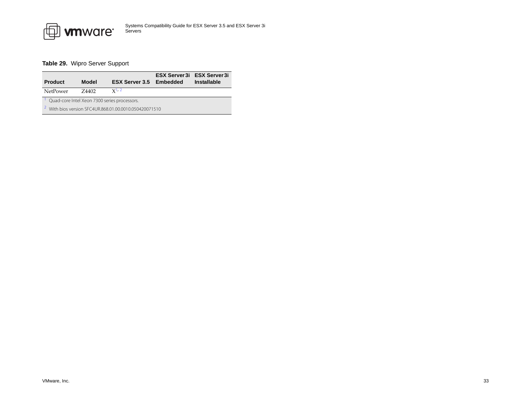

# <span id="page-32-0"></span>**Table 29.** Wipro Server Support

<span id="page-32-2"></span><span id="page-32-1"></span>

| <b>Product</b>                                                    | Model  | <b>ESX Server 3.5 Embedded</b> |  | <b>ESX Server 3i ESX Server 3i</b><br><b>Installable</b> |
|-------------------------------------------------------------------|--------|--------------------------------|--|----------------------------------------------------------|
| NetPower                                                          | 7.4402 | $x^{1,2}$                      |  |                                                          |
| Quad-core Intel Xeon 7300 series processors.                      |        |                                |  |                                                          |
| <sup>2</sup> With bios version SEC4UR.868.01.00.0010.050420071510 |        |                                |  |                                                          |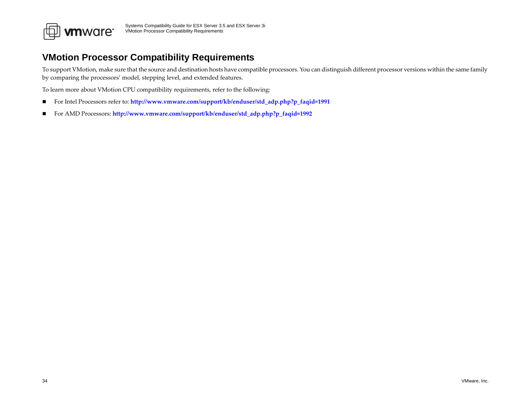

# <span id="page-33-0"></span>**VMotion Processor Compatibility Requirements**

To suppor<sup>t</sup> VMotion, make sure that the source and destination hosts have compatible processors. You can distinguish different processor versions within the same family by comparing the processors' model, stepping level, and extended features.

To learn more about VMotion CPU compatibility requirements, refer to the following:

- $\blacksquare$ For Intel Processors refer to: **[http://www.vmware.com/support/kb/enduser/std\\_adp.php?p\\_faqid=1991](http://www.vmware.com/support/kb/enduser/std_adp.php?p_faqid=1991)**
- $\blacksquare$ For AMD Processors: **[http://www.vmware.com/support/kb/enduser/std\\_adp.php?p\\_faqid=1992](http://www.vmware.com/support/kb/enduser/std_adp.php?p_faqid=1992)**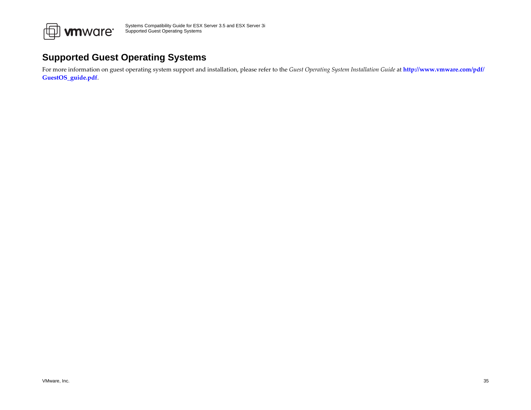

# <span id="page-34-0"></span>**Supported Guest Operating Systems**

For more information on gues<sup>t</sup> operating system suppor<sup>t</sup> and installation, please refer to the *Guest Operating System Installation Guide* at **[http://www.vmware.com/pdf/](http://www.vmware.com/pdf/GuestOS_guide.pdf) [GuestOS\\_guide.pdf](http://www.vmware.com/pdf/GuestOS_guide.pdf)**.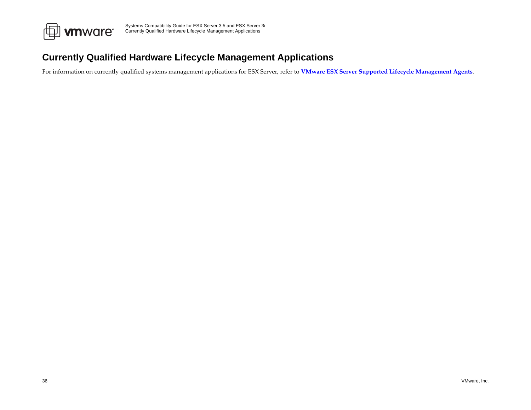

# <span id="page-35-0"></span>**Currently Qualified Hardware Lifecycle Management Applications**

For information on currently qualified systems managemen<sup>t</sup> applications for ESX Server, refer to **VMware ESX Server Supported Lifecycle [Management](http://www.vmware.com/support/esx25/doc/sys_mgmt_links.html) Agents**.